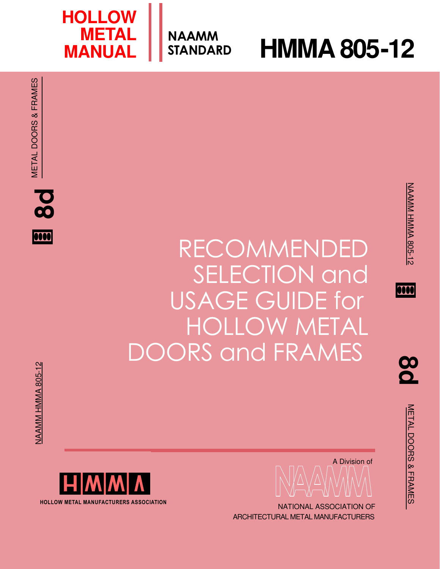NAAMM

**STANDARD HMMA 805-12** 

**HOLLOW**

**MANUAL** 

**METAL**

0000

<u>ထ</u>

METAL DOORS & FRAMES

METAL DOORS & FRAMES







NATIONAL ASSOCIATION OF ARCHITECTURAL METAL MANUFACTURERS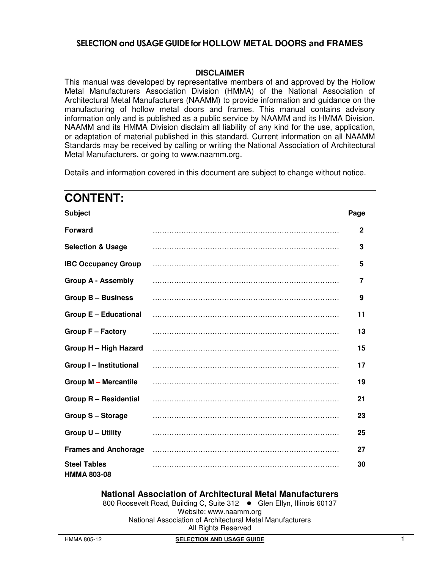### **DISCLAIMER**

This manual was developed by representative members of and approved by the Hollow Metal Manufacturers Association Division (HMMA) of the National Association of Architectural Metal Manufacturers (NAAMM) to provide information and guidance on the manufacturing of hollow metal doors and frames. This manual contains advisory information only and is published as a public service by NAAMM and its HMMA Division. NAAMM and its HMMA Division disclaim all liability of any kind for the use, application, or adaptation of material published in this standard. Current information on all NAAMM Standards may be received by calling or writing the National Association of Architectural Metal Manufacturers, or going to www.naamm.org.

Details and information covered in this document are subject to change without notice.

# **CONTENT: Subject Page Forward** …………………………………………………………………… **2 Selection & Usage** …………………………………………………………………… **3 IBC Occupancy Group** …………………………………………………………………… **5 Group A - Assembly** …………………………………………………………………… **7 Group B – Business** …………………………………………………………………… **9 Group E – Educational** …………………………………………………………………… **11 Group F – Factory** …………………………………………………………………… **13 Group H – High Hazard** …………………………………………………………………… **15 Group I – Institutional** …………………………………………………………………… **17 Group M – Mercantile** …………………………………………………………………… **19 Group R – Residential** …………………………………………………………………… **21 Group S – Storage** …………………………………………………………………… **23 Group U – Utility** …………………………………………………………………… **25 Frames and Anchorage** …………………………………………………………………… **27 Steel Tables HMMA 803-08**  …………………………………………………………………… **30**

### **National Association of Architectural Metal Manufacturers**

800 Roosevelt Road, Building C, Suite 312 . Glen Ellyn, Illinois 60137 Website: www.naamm.org National Association of Architectural Metal Manufacturers All Rights Reserved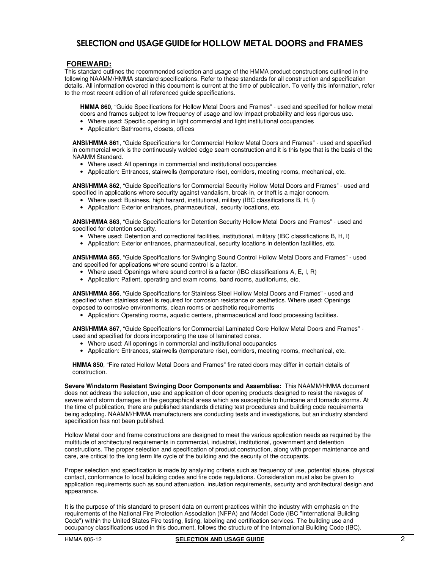### **FOREWARD:**

This standard outlines the recommended selection and usage of the HMMA product constructions outlined in the following NAAMM/HMMA standard specifications. Refer to these standards for all construction and specification details. All information covered in this document is current at the time of publication. To verify this information, refer to the most recent edition of all referenced guide specifications.

**HMMA 860**, "Guide Specifications for Hollow Metal Doors and Frames" - used and specified for hollow metal doors and frames subject to low frequency of usage and low impact probability and less rigorous use.

- Where used: Specific opening in light commercial and light institutional occupancies
- Application: Bathrooms, closets, offices

**ANSI/HMMA 861**, "Guide Specifications for Commercial Hollow Metal Doors and Frames" - used and specified in commercial work is the continuously welded edge seam construction and it is this type that is the basis of the NAAMM Standard.

- Where used: All openings in commercial and institutional occupancies
- Application: Entrances, stairwells (temperature rise), corridors, meeting rooms, mechanical, etc.

**ANSI/HMMA 862**, "Guide Specifications for Commercial Security Hollow Metal Doors and Frames" - used and specified in applications where security against vandalism, break-in, or theft is a major concern.

- Where used: Business, high hazard, institutional, military (IBC classifications B, H, I)
- Application: Exterior entrances, pharmaceutical, security locations, etc.

**ANSI/HMMA 863**, "Guide Specifications for Detention Security Hollow Metal Doors and Frames" - used and specified for detention security.

- Where used: Detention and correctional facilities, institutional, military (IBC classifications B, H, I)
- Application: Exterior entrances, pharmaceutical, security locations in detention facilities, etc.

**ANSI/HMMA 865**, "Guide Specifications for Swinging Sound Control Hollow Metal Doors and Frames" - used and specified for applications where sound control is a factor.

- Where used: Openings where sound control is a factor (IBC classifications A, E, I, R)
- Application: Patient, operating and exam rooms, band rooms, auditoriums, etc.

**ANSI/HMMA 866**, "Guide Specifications for Stainless Steel Hollow Metal Doors and Frames" - used and specified when stainless steel is required for corrosion resistance or aesthetics. Where used: Openings exposed to corrosive environments, clean rooms or aesthetic requirements

• Application: Operating rooms, aquatic centers, pharmaceutical and food processing facilities.

**ANSI/HMMA 867**, "Guide Specifications for Commercial Laminated Core Hollow Metal Doors and Frames" used and specified for doors incorporating the use of laminated cores.

- Where used: All openings in commercial and institutional occupancies
- Application: Entrances, stairwells (temperature rise), corridors, meeting rooms, mechanical, etc.

**HMMA 850**, "Fire rated Hollow Metal Doors and Frames" fire rated doors may differ in certain details of construction.

**Severe Windstorm Resistant Swinging Door Components and Assemblies:** This NAAMM/HMMA document does not address the selection, use and application of door opening products designed to resist the ravages of severe wind storm damages in the geographical areas which are susceptible to hurricane and tornado storms. At the time of publication, there are published standards dictating test procedures and building code requirements being adopting. NAAMM/HMMA manufacturers are conducting tests and investigations, but an industry standard specification has not been published.

Hollow Metal door and frame constructions are designed to meet the various application needs as required by the multitude of architectural requirements in commercial, industrial, institutional, government and detention constructions. The proper selection and specification of product construction, along with proper maintenance and care, are critical to the long term life cycle of the building and the security of the occupants.

Proper selection and specification is made by analyzing criteria such as frequency of use, potential abuse, physical contact, conformance to local building codes and fire code regulations. Consideration must also be given to application requirements such as sound attenuation, insulation requirements, security and architectural design and appearance.

It is the purpose of this standard to present data on current practices within the industry with emphasis on the requirements of the National Fire Protection Association (NFPA) and Model Code (IBC "International Building Code") within the United States Fire testing, listing, labeling and certification services. The building use and occupancy classifications used in this document, follows the structure of the International Building Code (IBC).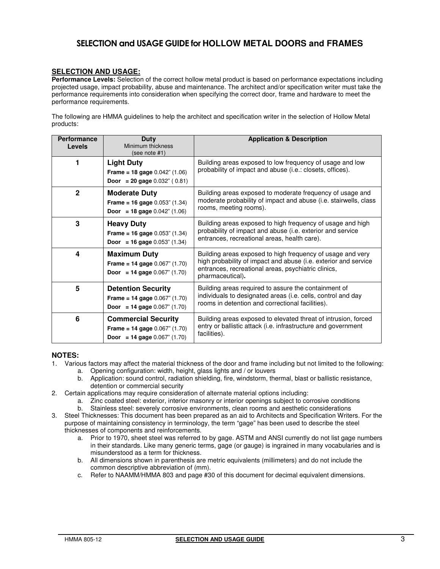### **SELECTION AND USAGE:**

**Performance Levels:** Selection of the correct hollow metal product is based on performance expectations including projected usage, impact probability, abuse and maintenance. The architect and/or specification writer must take the performance requirements into consideration when specifying the correct door, frame and hardware to meet the performance requirements.

The following are HMMA guidelines to help the architect and specification writer in the selection of Hollow Metal products:

| <b>Performance</b><br><b>Levels</b> | Duty<br>Minimum thickness<br>(see note #1)                                                                      | <b>Application &amp; Description</b>                                                                                                                                                                     |
|-------------------------------------|-----------------------------------------------------------------------------------------------------------------|----------------------------------------------------------------------------------------------------------------------------------------------------------------------------------------------------------|
|                                     | <b>Light Duty</b><br><b>Frame = 18 gage</b> $0.042$ " (1.06)<br><b>Door</b> = 20 gage $0.032$ " (0.81)          | Building areas exposed to low frequency of usage and low<br>probability of impact and abuse (i.e.: closets, offices).                                                                                    |
| $\mathbf{2}$                        | <b>Moderate Duty</b><br><b>Frame = 16 gage</b> $0.053$ " (1.34)<br><b>Door</b> = 18 gage $0.042$ " (1.06)       | Building areas exposed to moderate frequency of usage and<br>moderate probability of impact and abuse (i.e. stairwells, class<br>rooms, meeting rooms).                                                  |
| 3                                   | <b>Heavy Duty</b><br><b>Frame = 16 gage</b> $0.053$ " (1.34)<br><b>Door</b> = 16 gage $0.053$ " (1.34)          | Building areas exposed to high frequency of usage and high<br>probability of impact and abuse (i.e. exterior and service<br>entrances, recreational areas, health care).                                 |
| 4                                   | <b>Maximum Duty</b><br><b>Frame = 14 gage</b> $0.067$ " $(1.70)$<br><b>Door</b> = 14 gage $0.067$ " (1.70)      | Building areas exposed to high frequency of usage and very<br>high probability of impact and abuse (i.e. exterior and service<br>entrances, recreational areas, psychiatric clinics,<br>pharmaceutical). |
| 5                                   | <b>Detention Security</b><br><b>Frame = 14 gage</b> $0.067$ " (1.70)<br><b>Door</b> = 14 gage $0.067$ " (1.70)  | Building areas required to assure the containment of<br>individuals to designated areas (i.e. cells, control and day<br>rooms in detention and correctional facilities).                                 |
| 6                                   | <b>Commercial Security</b><br><b>Frame = 14 gage</b> $0.067$ " (1.70)<br><b>Door</b> = 14 gage $0.067$ " (1.70) | Building areas exposed to elevated threat of intrusion, forced<br>entry or ballistic attack (i.e. infrastructure and government<br>facilities).                                                          |

### **NOTES:**

- 1. Various factors may affect the material thickness of the door and frame including but not limited to the following:
	- a. Opening configuration: width, height, glass lights and / or louvers
	- b. Application: sound control, radiation shielding, fire, windstorm, thermal, blast or ballistic resistance, detention or commercial security
- 2. Certain applications may require consideration of alternate material options including:
	- a. Zinc coated steel: exterior, interior masonry or interior openings subject to corrosive conditions
	- b. Stainless steel: severely corrosive environments, clean rooms and aesthetic considerations
- 3. Steel Thicknesses: This document has been prepared as an aid to Architects and Specification Writers. For the purpose of maintaining consistency in terminology, the term "gage" has been used to describe the steel thicknesses of components and reinforcements.
	- a. Prior to 1970, sheet steel was referred to by gage. ASTM and ANSI currently do not list gage numbers in their standards. Like many generic terms, gage (or gauge) is ingrained in many vocabularies and is misunderstood as a term for thickness.
	- b. All dimensions shown in parenthesis are metric equivalents (millimeters) and do not include the common descriptive abbreviation of (mm).
	- c. Refer to NAAMM/HMMA 803 and page #30 of this document for decimal equivalent dimensions.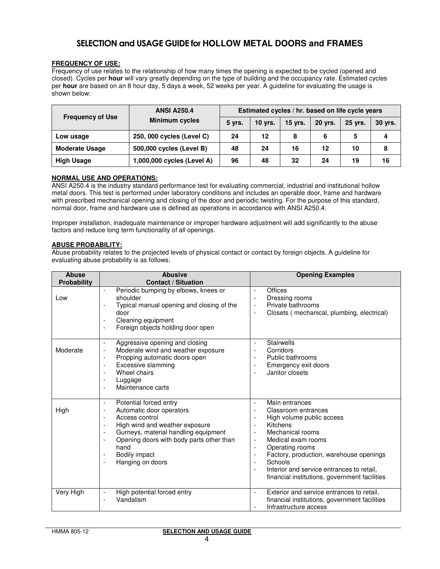### **FREQUENCY OF USE:**

Frequency of use relates to the relationship of how many times the opening is expected to be cycled (opened and closed). Cycles per **hour** will vary greatly depending on the type of building and the occupancy rate. Estimated cycles per **hour** are based on an 8 hour day, 5 days a week, 52 weeks per year. A guideline for evaluating the usage is shown below:

|                         | <b>ANSI A250.4</b>         |        |                |           |                | Estimated cycles / hr. based on life cycle years |         |
|-------------------------|----------------------------|--------|----------------|-----------|----------------|--------------------------------------------------|---------|
| <b>Frequency of Use</b> | <b>Minimum cycles</b>      | 5 yrs. | <b>10 yrs.</b> | $15$ yrs. | <b>20 yrs.</b> | 25 vrs.                                          | 30 yrs. |
| Low usage               | 250, 000 cycles (Level C)  | 24     | 12             | 8         | 6              | 5                                                | 4       |
| <b>Moderate Usage</b>   | 500,000 cycles (Level B)   | 48     | 24             | 16        | 12             | 10                                               | 8       |
| <b>High Usage</b>       | 1,000,000 cycles (Level A) | 96     | 48             | 32        | 24             | 19                                               | 16      |

### **NORMAL USE AND OPERATIONS:**

ANSI A250.4 is the industry standard performance test for evaluating commercial, industrial and institutional hollow metal doors. This test is performed under laboratory conditions and includes an operable door, frame and hardware with prescribed mechanical opening and closing of the door and periodic twisting. For the purpose of this standard, normal door, frame and hardware use is defined as operations in accordance with ANSI A250.4.

Improper installation, inadequate maintenance or improper hardware adjustment will add significantly to the abuse factors and reduce long term functionality of all openings.

### **ABUSE PROBABILITY:**

Abuse probability relates to the projected levels of physical contact or contact by foreign objects. A guideline for evaluating abuse probability is as follows:

| <b>Abuse</b><br>Probability | <b>Abusive</b><br><b>Contact / Situation</b>                                                                                                                                                                                                                                                                                                                                                          | <b>Opening Examples</b>                                                                                                                                                                                                                                                                                                                                                                                                                                                                                                                                                       |
|-----------------------------|-------------------------------------------------------------------------------------------------------------------------------------------------------------------------------------------------------------------------------------------------------------------------------------------------------------------------------------------------------------------------------------------------------|-------------------------------------------------------------------------------------------------------------------------------------------------------------------------------------------------------------------------------------------------------------------------------------------------------------------------------------------------------------------------------------------------------------------------------------------------------------------------------------------------------------------------------------------------------------------------------|
| Low                         | Periodic bumping by elbows, knees or<br>$\blacksquare$<br>shoulder<br>Typical manual opening and closing of the<br>door<br>Cleaning equipment<br>$\overline{\phantom{a}}$<br>Foreign objects holding door open                                                                                                                                                                                        | Offices<br>$\blacksquare$<br>Dressing rooms<br>Private bathrooms<br>$\overline{\phantom{a}}$<br>Closets (mechanical, plumbing, electrical)<br>$\overline{\phantom{a}}$                                                                                                                                                                                                                                                                                                                                                                                                        |
| Moderate                    | Aggressive opening and closing<br>$\overline{\phantom{a}}$<br>Moderate wind and weather exposure<br>$\overline{\phantom{a}}$<br>Propping automatic doors open<br>$\overline{\phantom{a}}$<br>Excessive slamming<br>$\overline{\phantom{a}}$<br>Wheel chairs<br>$\overline{a}$<br>Luggage<br>$\blacksquare$<br>Maintenance carts<br>$\blacksquare$                                                     | <b>Stairwells</b><br>$\blacksquare$<br>Corridors<br>$\overline{\phantom{a}}$<br>Public bathrooms<br>$\overline{\phantom{a}}$<br>Emergency exit doors<br>$\overline{\phantom{a}}$<br>Janitor closets<br>$\overline{a}$                                                                                                                                                                                                                                                                                                                                                         |
| High                        | Potential forced entry<br>$\overline{\phantom{a}}$<br>Automatic door operators<br>$\overline{\phantom{a}}$<br>Access control<br>$\blacksquare$<br>High wind and weather exposure<br>$\overline{\phantom{a}}$<br>Gurneys, material handling equipment<br>$\overline{\phantom{a}}$<br>Opening doors with body parts other than<br>hand<br>Bodily impact<br>$\overline{\phantom{a}}$<br>Hanging on doors | Main entrances<br>$\blacksquare$<br>Classroom entrances<br>$\overline{\phantom{a}}$<br>High volume public access<br>$\overline{\phantom{a}}$<br>Kitchens<br>$\overline{\phantom{a}}$<br>Mechanical rooms<br>$\overline{\phantom{a}}$<br>Medical exam rooms<br>$\overline{\phantom{a}}$<br>Operating rooms<br>$\overline{\phantom{a}}$<br>Factory, production, warehouse openings<br>$\overline{\phantom{a}}$<br>Schools<br>$\overline{\phantom{a}}$<br>Interior and service entrances to retail,<br>$\overline{\phantom{a}}$<br>financial institutions, government facilities |
| Very High                   | High potential forced entry<br>$\overline{a}$<br>Vandalism                                                                                                                                                                                                                                                                                                                                            | Exterior and service entrances to retail,<br>$\overline{a}$<br>financial institutions, government facilities<br>Infrastructure access<br>$\overline{a}$                                                                                                                                                                                                                                                                                                                                                                                                                       |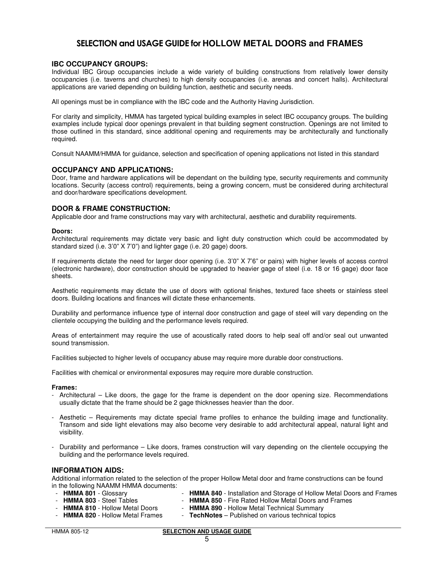### **IBC OCCUPANCY GROUPS:**

Individual IBC Group occupancies include a wide variety of building constructions from relatively lower density occupancies (i.e. taverns and churches) to high density occupancies (i.e. arenas and concert halls). Architectural applications are varied depending on building function, aesthetic and security needs.

All openings must be in compliance with the IBC code and the Authority Having Jurisdiction.

For clarity and simplicity, HMMA has targeted typical building examples in select IBC occupancy groups. The building examples include typical door openings prevalent in that building segment construction. Openings are not limited to those outlined in this standard, since additional opening and requirements may be architecturally and functionally required.

Consult NAAMM/HMMA for guidance, selection and specification of opening applications not listed in this standard

### **OCCUPANCY AND APPLICATIONS:**

Door, frame and hardware applications will be dependant on the building type, security requirements and community locations. Security (access control) requirements, being a growing concern, must be considered during architectural and door/hardware specifications development.

### **DOOR & FRAME CONSTRUCTION:**

Applicable door and frame constructions may vary with architectural, aesthetic and durability requirements.

#### **Doors:**

Architectural requirements may dictate very basic and light duty construction which could be accommodated by standard sized (i.e. 3'0" X 7'0") and lighter gage (i.e. 20 gage) doors.

If requirements dictate the need for larger door opening (i.e. 3'0" X 7'6" or pairs) with higher levels of access control (electronic hardware), door construction should be upgraded to heavier gage of steel (i.e. 18 or 16 gage) door face sheets.

Aesthetic requirements may dictate the use of doors with optional finishes, textured face sheets or stainless steel doors. Building locations and finances will dictate these enhancements.

Durability and performance influence type of internal door construction and gage of steel will vary depending on the clientele occupying the building and the performance levels required.

Areas of entertainment may require the use of acoustically rated doors to help seal off and/or seal out unwanted sound transmission.

Facilities subjected to higher levels of occupancy abuse may require more durable door constructions.

Facilities with chemical or environmental exposures may require more durable construction.

#### **Frames:**

- Architectural Like doors, the gage for the frame is dependent on the door opening size. Recommendations usually dictate that the frame should be 2 gage thicknesses heavier than the door.
- Aesthetic Requirements may dictate special frame profiles to enhance the building image and functionality. Transom and side light elevations may also become very desirable to add architectural appeal, natural light and visibility.
- Durability and performance Like doors, frames construction will vary depending on the clientele occupying the building and the performance levels required.

### **INFORMATION AIDS:**

Additional information related to the selection of the proper Hollow Metal door and frame constructions can be found in the following NAAMM HMMA documents:

- **HMMA 801** Glossary
- **HMMA 840** Installation and Storage of Hollow Metal Doors and Frames
- **HMMA 803** Steel Tables
- **HMMA 850** Fire Rated Hollow Metal Doors and Frames
- **HMMA 810** Hollow Metal Doors - **HMMA 890** - Hollow Metal Technical Summary
- **HMMA 820** Hollow Metal Frames

- **TechNotes** – Published on various technical topics

#### HMMA 805-12 **SELECTION AND USAGE GUIDE**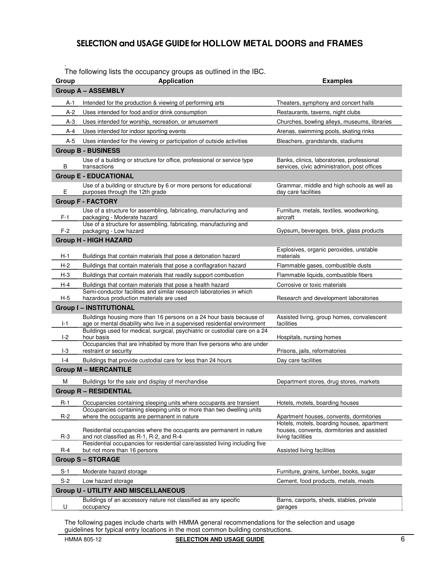. The following lists the occupancy groups as outlined in the IBC.

| Group    | <b>Application</b>                                                                                                                                                    | <b>Examples</b>                                                                            |
|----------|-----------------------------------------------------------------------------------------------------------------------------------------------------------------------|--------------------------------------------------------------------------------------------|
|          | <b>Group A - ASSEMBLY</b>                                                                                                                                             |                                                                                            |
| A-1      | Intended for the production & viewing of performing arts                                                                                                              | Theaters, symphony and concert halls                                                       |
| A-2      | Uses intended for food and/or drink consumption                                                                                                                       | Restaurants, taverns, night clubs                                                          |
| A-3      | Uses intended for worship, recreation, or amusement                                                                                                                   | Churches, bowling alleys, museums, libraries                                               |
| A-4      | Uses intended for indoor sporting events                                                                                                                              | Arenas, swimming pools, skating rinks                                                      |
| A-5      | Uses intended for the viewing or participation of outside activities                                                                                                  | Bleachers, grandstands, stadiums                                                           |
|          | <b>Group B - BUSINESS</b>                                                                                                                                             |                                                                                            |
| В        | Use of a building or structure for office, professional or service type<br>transactions                                                                               | Banks, clinics, laboratories, professional<br>services, civic administration, post offices |
|          | <b>Group E - EDUCATIONAL</b>                                                                                                                                          |                                                                                            |
| Е        | Use of a building or structure by 6 or more persons for educational<br>purposes through the 12th grade                                                                | Grammar, middle and high schools as well as<br>day care facilities                         |
|          | <b>Group F - FACTORY</b>                                                                                                                                              |                                                                                            |
| $F-1$    | Use of a structure for assembling, fabricating, manufacturing and<br>packaging - Moderate hazard<br>Use of a structure for assembling, fabricating, manufacturing and | Furniture, metals, textiles, woodworking,<br>aircraft                                      |
| $F-2$    | packaging - Low hazard                                                                                                                                                | Gypsum, beverages, brick, glass products                                                   |
|          | <b>Group H - HIGH HAZARD</b>                                                                                                                                          |                                                                                            |
| H-1      | Buildings that contain materials that pose a detonation hazard                                                                                                        | Explosives, organic peroxides, unstable<br>materials                                       |
| H-2      | Buildings that contain materials that pose a conflagration hazard                                                                                                     | Flammable gases, combustible dusts                                                         |
| $H - 3$  | Buildings that contain materials that readily support combustion                                                                                                      | Flammable liquids, combustible fibers                                                      |
| $H - 4$  | Buildings that contain materials that pose a health hazard                                                                                                            | Corrosive or toxic materials                                                               |
| H-5      | Semi-conductor facilities and similar research laboratories in which<br>hazardous production materials are used                                                       | Research and development laboratories                                                      |
|          | <b>Group I-INSTITUTIONAL</b>                                                                                                                                          |                                                                                            |
| $I-1$    | Buildings housing more than 16 persons on a 24 hour basis because of<br>age or mental disability who live in a supervised residential environment                     | Assisted living, group homes, convalescent<br>facilities                                   |
| $I-2$    | Buildings used for medical, surgical, psychiatric or custodial care on a 24<br>hour basis                                                                             | Hospitals, nursing homes                                                                   |
| $I-3$    | Occupancies that are inhabited by more than five persons who are under<br>restraint or security                                                                       | Prisons, jails, reformatories                                                              |
| $ -4$    | Buildings that provide custodial care for less than 24 hours                                                                                                          | Day care facilities                                                                        |
|          | <b>Group M-MERCANTILE</b>                                                                                                                                             |                                                                                            |
| м        | Buildings for the sale and display of merchandise                                                                                                                     | Department stores, drug stores, markets                                                    |
|          | <b>Group R-RESIDENTIAL</b>                                                                                                                                            |                                                                                            |
| $R-1$    | Occupancies containing sleeping units where occupants are transient                                                                                                   | Hotels, motels, boarding houses                                                            |
|          | Occupancies containing sleeping units or more than two dwelling units                                                                                                 |                                                                                            |
| $R-2$    | where the occupants are permanent in nature                                                                                                                           | Apartment houses, convents, dormitories<br>Hotels, motels, boarding houses, apartment      |
| $R-3$    | Residential occupancies where the occupants are permanent in nature<br>and not classified as R-1, R-2, and R-4                                                        | houses, convents, dormitories and assisted<br>living facilities                            |
| R-4      | Residential occupancies for residential care/assisted living including five<br>but not more than 16 persons                                                           | Assisted living facilities                                                                 |
|          | <b>Group S-STORAGE</b>                                                                                                                                                |                                                                                            |
| S-1      | Moderate hazard storage                                                                                                                                               | Furniture, grains, lumber, books, sugar                                                    |
| $S-2$    | Low hazard storage                                                                                                                                                    | Cement, food products, metals, meats                                                       |
|          | <b>Group U - UTILITY AND MISCELLANEOUS</b>                                                                                                                            |                                                                                            |
| <u>U</u> | Buildings of an accessory nature not classified as any specific<br>occupancy                                                                                          | Barns, carports, sheds, stables, private<br>garages                                        |

The following pages include charts with HMMA general recommendations for the selection and usage guidelines for typical entry locations in the most common building constructions.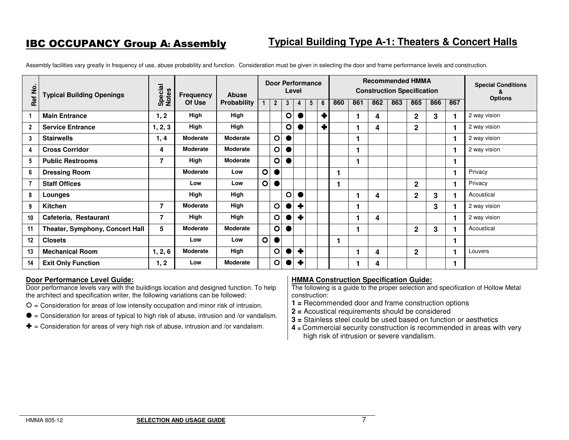Assembly facilities vary greatly in frequency of use, abuse probability and function. Consideration must be given in selecting the door and frame performance levels and construction.

| Ref No.         | <b>Typical Building Openings</b> | Special<br>Notes | Frequency       | <b>Abuse</b>       |                |                |   | Level            | <b>Door Performance</b> |   |     |     | <b>Recommended HMMA</b><br><b>Construction Specification</b> |     |                |     |     | <b>Special Conditions</b><br>8 |
|-----------------|----------------------------------|------------------|-----------------|--------------------|----------------|----------------|---|------------------|-------------------------|---|-----|-----|--------------------------------------------------------------|-----|----------------|-----|-----|--------------------------------|
|                 |                                  |                  | Of Use          | <b>Probability</b> | 1              | $\overline{2}$ | 3 | 4                | 5                       | 6 | 860 | 861 | 862                                                          | 863 | 865            | 866 | 867 | <b>Options</b>                 |
|                 | <b>Main Entrance</b>             | 1, 2             | High            | High               |                |                | O |                  |                         | ٠ |     |     | 4                                                            |     | $\mathbf{2}$   | 3   |     | 2 way vision                   |
| $\overline{2}$  | <b>Service Entrance</b>          | 1, 2, 3          | High            | High               |                |                | O |                  |                         | ÷ |     |     | 4                                                            |     | $\overline{2}$ |     |     | 2 way vision                   |
| $\mathbf{3}$    | <b>Stairwells</b>                | 1, 4             | <b>Moderate</b> | <b>Moderate</b>    |                | $\circ$        |   |                  |                         |   |     |     |                                                              |     |                |     |     | 2 way vision                   |
| 4               | <b>Cross Corridor</b>            | 4                | Moderate        | Moderate           |                | $\overline{O}$ |   |                  |                         |   |     |     |                                                              |     |                |     |     | 2 way vision                   |
| $5\overline{ }$ | <b>Public Restrooms</b>          | 7                | High            | Moderate           |                | $\mathsf{O}$   |   |                  |                         |   |     |     |                                                              |     |                |     |     |                                |
| 6               | <b>Dressing Room</b>             |                  | <b>Moderate</b> | Low                | $\circ$        |                |   |                  |                         |   |     |     |                                                              |     |                |     |     | Privacy                        |
| 7               | <b>Staff Offices</b>             |                  | Low             | Low                | $\circ$        |                |   |                  |                         |   |     |     |                                                              |     | $\mathbf{2}$   |     |     | Privacy                        |
| 8               | Lounges                          |                  | High            | High               |                |                | O |                  |                         |   |     |     | 4                                                            |     | $\mathbf{2}$   | 3   |     | Acoustical                     |
| 9               | Kitchen                          | 7                | <b>Moderate</b> | High               |                | $\circ$        |   | ╋                |                         |   |     |     |                                                              |     |                | 3   |     | 2 way vision                   |
| 10              | Cafeteria, Restaurant            | 7                | High            | High               |                | $\circ$        |   | $\ddot{\bullet}$ |                         |   |     |     | 4                                                            |     |                |     |     | 2 way vision                   |
| 11              | Theater, Symphony, Concert Hall  | 5                | <b>Moderate</b> | <b>Moderate</b>    |                | $\circ$        |   |                  |                         |   |     |     |                                                              |     | $\mathbf{2}$   | 3   |     | Acoustical                     |
| 12              | <b>Closets</b>                   |                  | Low             | Low                | $\overline{O}$ | $\bullet$      |   |                  |                         |   |     |     |                                                              |     |                |     |     |                                |
| 13              | <b>Mechanical Room</b>           | 1, 2, 6          | Moderate        | High               |                | $\circ$        |   | ╋                |                         |   |     |     | 4                                                            |     | $\mathbf 2$    |     |     | Louvers                        |
| 14              | <b>Exit Only Function</b>        | 1, 2             | Low             | <b>Moderate</b>    |                | $\circ$        |   | ٠                |                         |   |     |     | 4                                                            |     |                |     |     |                                |

### **Door Performance Level Guide:**

 Door performance levels vary with the buildings location and designed function. To help the architect and specification writer, the following variations can be followed:

- $O =$  Consideration for areas of low intensity occupation and minor risk of intrusion.
- $\bullet$ <sup>=</sup>Consideration for areas of typical to high risk of abuse, intrusion and /or vandalism.
- $\blacktriangleright$  = Consideration for areas of very high risk of abuse, intrusion and /or vandalism.

### **HMMA Construction Specification Guide:**

- **1 =** Recommended door and frame construction options
- **2 =** Acoustical requirements should be considered
- **3 =** Stainless steel could be used based on function or aesthetics
- **4 =** Commercial security construction is recommended in areas with very high risk of intrusion or severe vandalism.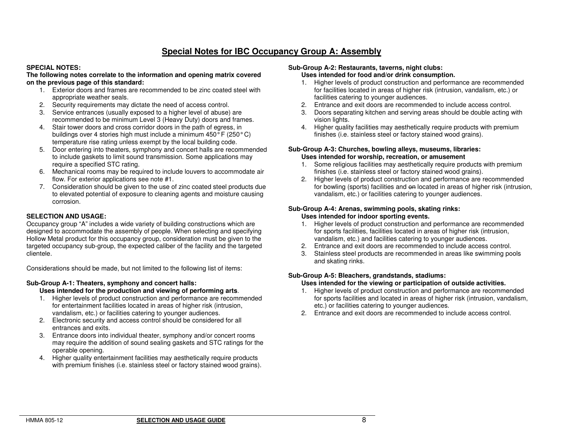# **Special Notes for IBC Occupancy Group A: Assembly**

### **SPECIAL NOTES:**

#### **The following notes correlate to the information and opening matrix covered on the previous page of this standard:**

- 1. Exterior doors and frames are recommended to be zinc coated steel with appropriate weather seals.
- 2. Security requirements may dictate the need of access control.
- 3. Service entrances (usually exposed to a higher level of abuse) are recommended to be minimum Level 3 (Heavy Duty) doors and frames.
- 4. Stair tower doors and cross corridor doors in the path of egress, in buildings over 4 stories high must include a minimum 450° F (250° C) temperature rise rating unless exempt by the local building code.
- 5. Door entering into theaters, symphony and concert halls are recommended to include gaskets to limit sound transmission. Some applications may require a specified STC rating.
- 6. Mechanical rooms may be required to include louvers to accommodate air flow. For exterior applications see note #1.
- 7. Consideration should be given to the use of zinc coated steel products due to elevated potential of exposure to cleaning agents and moisture causing corrosion.

### **SELECTION AND USAGE:**

 Occupancy group "A" includes a wide variety of building constructions which are designed to accommodate the assembly of people. When selecting and specifying Hollow Metal product for this occupancy group, consideration must be given to the targeted occupancy sub-group, the expected caliber of the facility and the targeted clientele.

Considerations should be made, but not limited to the following list of items:

### **Sub-Group A-1: Theaters, symphony and concert halls:**

### **Uses intended for the production and viewing of performing arts**.

- 1. Higher levels of product construction and performance are recommended for entertainment facilities located in areas of higher risk (intrusion, vandalism, etc.) or facilities catering to younger audiences.
- 2. Electronic security and access control should be considered for all entrances and exits.
- 3. Entrance doors into individual theater, symphony and/or concert rooms may require the addition of sound sealing gaskets and STC ratings for the operable opening.
- 4. Higher quality entertainment facilities may aesthetically require products with premium finishes (i.e. stainless steel or factory stained wood grains).

#### **Sub-Group A-2: Restaurants, taverns, night clubs: Uses intended for food and/or drink consumption.**

- 1. Higher levels of product construction and performance are recommended for facilities located in areas of higher risk (intrusion, vandalism, etc.) or facilities catering to younger audiences.
- 2. Entrance and exit doors are recommended to include access control.
- 3. Doors separating kitchen and serving areas should be double acting with vision lights.
- 4. Higher quality facilities may aesthetically require products with premium finishes (i.e. stainless steel or factory stained wood grains).

### **Sub-Group A-3: Churches, bowling alleys, museums, libraries:Uses intended for worship, recreation, or amusement**

- 1. Some religious facilities may aesthetically require products with premium finishes (i.e. stainless steel or factory stained wood grains).
- 2. Higher levels of product construction and performance are recommended for bowling (sports) facilities and on located in areas of higher risk (intrusion, vandalism, etc.) or facilities catering to younger audiences.

#### **Sub-Group A-4: Arenas, swimming pools, skating rinks: Uses intended for indoor sporting events.**

- 1. Higher levels of product construction and performance are recommended for sports facilities, facilities located in areas of higher risk (intrusion, vandalism, etc.) and facilities catering to younger audiences.
- 2. Entrance and exit doors are recommended to include access control.
- 3. Stainless steel products are recommended in areas like swimming pools and skating rinks.

### **Sub-Group A-5: Bleachers, grandstands, stadiums:**

### **Uses intended for the viewing or participation of outside activities.**

- 1. Higher levels of product construction and performance are recommended for sports facilities and located in areas of higher risk (intrusion, vandalism, etc.) or facilities catering to younger audiences.
- 2. Entrance and exit doors are recommended to include access control.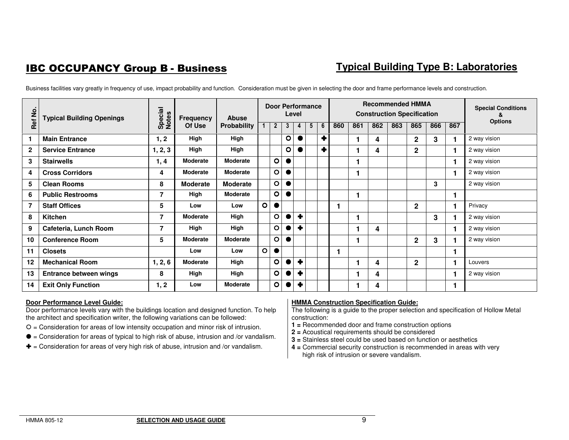# **IBC OCCUPANCY Group B - Business**

# **Typical Building Type B: Laboratories**

| Ref No.      | <b>Typical Building Openings</b> | Special<br>Notes | <b>Frequency</b> | Abuse              |             | <b>Door Performance</b> | Level     |           |   |           |     |     |     |     | <b>Recommended HMMA</b><br><b>Construction Specification</b> |     |     | <b>Special Conditions</b> |
|--------------|----------------------------------|------------------|------------------|--------------------|-------------|-------------------------|-----------|-----------|---|-----------|-----|-----|-----|-----|--------------------------------------------------------------|-----|-----|---------------------------|
|              |                                  |                  | Of Use           | <b>Probability</b> | $\mathbf 1$ | $\mathbf{2}$            | 3         | 4         | 5 | 6         | 860 | 861 | 862 | 863 | 865                                                          | 866 | 867 | <b>Options</b>            |
|              | <b>Main Entrance</b>             | 1, 2             | High             | High               |             |                         | $\circ$   |           |   | $\bullet$ |     |     | 4   |     | $\overline{2}$                                               | 3   |     | 2 way vision              |
| $\mathbf{2}$ | <b>Service Entrance</b>          | 1, 2, 3          | High             | High               |             |                         | $\circ$   |           |   | ٠         |     |     | 4   |     | $\overline{2}$                                               |     |     | 2 way vision              |
| 3            | <b>Stairwells</b>                | 1, 4             | <b>Moderate</b>  | Moderate           |             | $\circ$                 |           |           |   |           |     |     |     |     |                                                              |     |     | 2 way vision              |
| 4            | <b>Cross Corridors</b>           | 4                | <b>Moderate</b>  | Moderate           |             | $\circ$                 |           |           |   |           |     |     |     |     |                                                              |     |     | 2 way vision              |
| 5            | <b>Clean Rooms</b>               | 8                | <b>Moderate</b>  | <b>Moderate</b>    |             | $\circ$                 | $\bullet$ |           |   |           |     |     |     |     |                                                              | 3   |     | 2 way vision              |
| 6            | <b>Public Restrooms</b>          | 7                | High             | Moderate           |             | $\circ$                 |           |           |   |           |     |     |     |     |                                                              |     |     |                           |
| 7            | <b>Staff Offices</b>             | 5                | Low              | Low                | $\circ$     | $\bullet$               |           |           |   |           |     |     |     |     | $\overline{2}$                                               |     |     | Privacy                   |
| 8            | <b>Kitchen</b>                   | 7                | Moderate         | High               |             | $\circ$                 |           | ٠         |   |           |     |     |     |     |                                                              | 3   |     | 2 way vision              |
| 9            | Cafeteria, Lunch Room            | 7                | High             | High               |             | $\circ$                 |           | ٠         |   |           |     |     | 4   |     |                                                              |     |     | 2 way vision              |
| 10           | <b>Conference Room</b>           | 5                | <b>Moderate</b>  | Moderate           |             | $\circ$                 | $\bullet$ |           |   |           |     |     |     |     | $\mathbf{2}$                                                 | 3   |     | 2 way vision              |
| 11           | <b>Closets</b>                   |                  | Low              | Low                | $\circ$     | $\bullet$               |           |           |   |           |     |     |     |     |                                                              |     |     |                           |
| 12           | <b>Mechanical Room</b>           | 1, 2, 6          | Moderate         | High               |             | $\circ$                 |           | ٠         |   |           |     |     | 4   |     | $\mathbf{2}$                                                 |     |     | Louvers                   |
| 13           | Entrance between wings           | 8                | High             | High               |             | $\circ$                 |           | $\ddot{}$ |   |           |     |     | 4   |     |                                                              |     |     | 2 way vision              |
| 14           | <b>Exit Only Function</b>        | 1, 2             | Low              | Moderate           |             | $\circ$                 |           | ٠         |   |           |     |     | 4   |     |                                                              |     |     |                           |

Business facilities vary greatly in frequency of use, impact probability and function. Consideration must be given in selecting the door and frame performance levels and construction.

### **Door Performance Level Guide:**

 Door performance levels vary with the buildings location and designed function. To help the architect and specification writer, the following variations can be followed:

- $O =$  Consideration for areas of low intensity occupation and minor risk of intrusion.
- $\bullet$  = Consideration for areas of typical to high risk of abuse, intrusion and /or vandalism.
- $\blacktriangleright$  = Consideration for areas of very high risk of abuse, intrusion and /or vandalism.

### **HMMA Construction Specification Guide:**

- **1 =** Recommended door and frame construction options
- **2 =** Acoustical requirements should be considered
- **3 =** Stainless steel could be used based on function or aesthetics
- **4 =** Commercial security construction is recommended in areas with very high risk of intrusion or severe vandalism.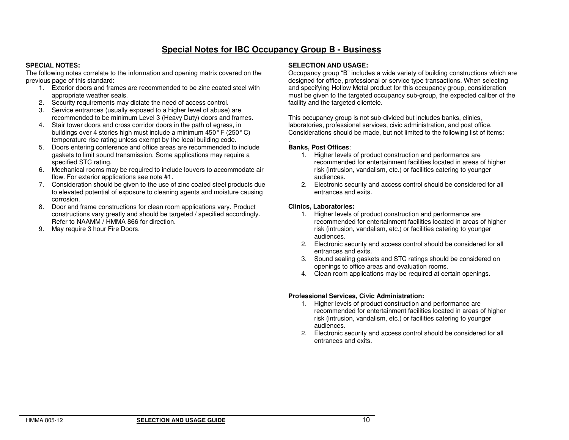### **Special Notes for IBC Occupancy Group B - Business**

### **SPECIAL NOTES:**

 The following notes correlate to the information and opening matrix covered on the previous page of this standard:

- 1. Exterior doors and frames are recommended to be zinc coated steel with appropriate weather seals.
- 2. Security requirements may dictate the need of access control.
- 3. Service entrances (usually exposed to a higher level of abuse) are recommended to be minimum Level 3 (Heavy Duty) doors and frames.
- 4. Stair tower doors and cross corridor doors in the path of egress, in buildings over 4 stories high must include a minimum 450° F (250° C) temperature rise rating unless exempt by the local building code.
- 5. Doors entering conference and office areas are recommended to include gaskets to limit sound transmission. Some applications may require a specified STC rating.
- 6. Mechanical rooms may be required to include louvers to accommodate air flow. For exterior applications see note #1.
- 7. Consideration should be given to the use of zinc coated steel products due to elevated potential of exposure to cleaning agents and moisture causing corrosion.
- 8. Door and frame constructions for clean room applications vary. Product constructions vary greatly and should be targeted / specified accordingly. Refer to NAAMM / HMMA 866 for direction.
- 9. May require 3 hour Fire Doors.

### **SELECTION AND USAGE:**

 Occupancy group "B" includes a wide variety of building constructions which are designed for office, professional or service type transactions. When selecting and specifying Hollow Metal product for this occupancy group, consideration must be given to the targeted occupancy sub-group, the expected caliber of the facility and the targeted clientele.

This occupancy group is not sub-divided but includes banks, clinics, laboratories, professional services, civic administration, and post office. Considerations should be made, but not limited to the following list of items:

### **Banks, Post Offices**:

.

- 1. Higher levels of product construction and performance are recommended for entertainment facilities located in areas of higher risk (intrusion, vandalism, etc.) or facilities catering to younger audiences.
- 2. Electronic security and access control should be considered for all entrances and exits.

### **Clinics, Laboratories:**

- 1. Higher levels of product construction and performance are recommended for entertainment facilities located in areas of higher risk (intrusion, vandalism, etc.) or facilities catering to younger audiences.
- 2. Electronic security and access control should be considered for all entrances and exits.
- 3. Sound sealing gaskets and STC ratings should be considered on openings to office areas and evaluation rooms.
- 4. Clean room applications may be required at certain openings.

### **Professional Services, Civic Administration:**

- 1. Higher levels of product construction and performance are recommended for entertainment facilities located in areas of higher risk (intrusion, vandalism, etc.) or facilities catering to younger audiences.
- 2. Electronic security and access control should be considered for all entrances and exits.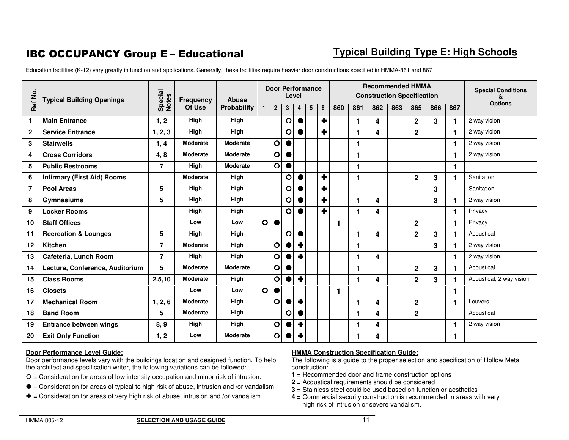# **IBC OCCUPANCY Group E - Educational**

# **Typical Building Type E: High Schools**

Education facilities (K-12) vary greatly in function and applications. Generally, these facilities require heavier door constructions specified in HMMA-861 and 867

| Ref No.        | <b>Typical Building Openings</b>   | Special<br>Notes | Frequency       | <b>Abuse</b>    |                | <b>Door Performance</b> | Level       |                     |                 |   |     |     | <b>Recommended HMMA</b><br><b>Construction Specification</b> |     |                |     |     | <b>Special Conditions</b><br>&<br><b>Options</b> |
|----------------|------------------------------------|------------------|-----------------|-----------------|----------------|-------------------------|-------------|---------------------|-----------------|---|-----|-----|--------------------------------------------------------------|-----|----------------|-----|-----|--------------------------------------------------|
|                |                                    |                  | Of Use          | Probability     | 1              | $\overline{2}$          | 3           | $\overline{4}$      | $5\phantom{.0}$ | 6 | 860 | 861 | 862                                                          | 863 | 865            | 866 | 867 |                                                  |
| $\mathbf{1}$   | <b>Main Entrance</b>               | 1, 2             | High            | High            |                |                         | O           |                     |                 |   |     |     | 4                                                            |     | $\overline{2}$ | 3   | 1   | 2 way vision                                     |
| $\mathbf{2}$   | <b>Service Entrance</b>            | 1, 2, 3          | High            | High            |                |                         | O           | $\bullet$           |                 |   |     |     | 4                                                            |     | $\mathbf{2}$   |     | 1.  | 2 way vision                                     |
| 3              | <b>Stairwells</b>                  | 1, 4             | <b>Moderate</b> | <b>Moderate</b> |                | $\mathbf O$             | $\bullet$   |                     |                 |   |     |     |                                                              |     |                |     | 1   | 2 way vision                                     |
| 4              | <b>Cross Corridors</b>             | 4,8              | <b>Moderate</b> | <b>Moderate</b> |                | $\circ$                 |             |                     |                 |   |     |     |                                                              |     |                |     | 1   | 2 way vision                                     |
| 5              | <b>Public Restrooms</b>            | $\overline{7}$   | High            | <b>Moderate</b> |                | $\circ$                 |             |                     |                 |   |     |     |                                                              |     |                |     | 1.  |                                                  |
| 6              | <b>Infirmary (First Aid) Rooms</b> |                  | <b>Moderate</b> | High            |                |                         | O           |                     |                 |   |     |     |                                                              |     | $\mathbf{2}$   | 3   | 1   | Sanitation                                       |
| $\overline{7}$ | <b>Pool Areas</b>                  | 5                | High            | High            |                |                         | O           |                     |                 |   |     |     |                                                              |     |                | 3   |     | Sanitation                                       |
| 8              | Gymnasiums                         | 5                | High            | High            |                |                         | $\circ$     | $\bullet$           |                 |   |     |     | 4                                                            |     |                | 3   |     | 2 way vision                                     |
| 9              | <b>Locker Rooms</b>                |                  | High            | High            |                |                         | O           |                     |                 |   |     |     | 4                                                            |     |                |     | 1.  | Privacy                                          |
| 10             | <b>Staff Offices</b>               |                  | Low             | Low             | $\overline{O}$ | $\bullet$               |             |                     |                 |   | 1   |     |                                                              |     | $\overline{2}$ |     | 1   | Privacy                                          |
| 11             | <b>Recreation &amp; Lounges</b>    | 5                | High            | High            |                |                         | O           |                     |                 |   |     |     | 4                                                            |     | $\overline{2}$ | 3   |     | Acoustical                                       |
| 12             | Kitchen                            | $\overline{7}$   | <b>Moderate</b> | High            |                | $\circ$                 |             |                     |                 |   |     |     |                                                              |     |                | 3   |     | 2 way vision                                     |
| 13             | Cafeteria, Lunch Room              | $\overline{7}$   | High            | High            |                | $\circ$                 |             | ٠                   |                 |   |     |     | 4                                                            |     |                |     | 1   | 2 way vision                                     |
| 14             | Lecture, Conference, Auditorium    | 5                | <b>Moderate</b> | <b>Moderate</b> |                | $\circ$                 |             |                     |                 |   |     |     |                                                              |     | $\overline{2}$ | 3   |     | Acoustical                                       |
| 15             | <b>Class Rooms</b>                 | 2.5, 10          | <b>Moderate</b> | High            |                | $\circ$                 |             | ÷                   |                 |   |     |     | 4                                                            |     | $\overline{2}$ | 3   |     | Acoustical, 2 way vision                         |
| 16             | <b>Closets</b>                     |                  | Low             | Low             | $\circ$        |                         |             |                     |                 |   | 1   |     |                                                              |     |                |     | 1   |                                                  |
| 17             | <b>Mechanical Room</b>             | 1, 2, 6          | <b>Moderate</b> | High            |                | $\circ$                 |             | ٠                   |                 |   |     |     | 4                                                            |     | $\overline{2}$ |     | 1.  | Louvers                                          |
| 18             | <b>Band Room</b>                   | 5                | <b>Moderate</b> | High            |                |                         | $\mathbf O$ | $\bullet$           |                 |   |     |     | 4                                                            |     | $\mathbf{2}$   |     |     | Acoustical                                       |
| 19             | <b>Entrance between wings</b>      | 8, 9             | High            | High            |                | $\circ$                 |             | $\ddot{\textbf{r}}$ |                 |   |     |     | 4                                                            |     |                |     | 1   | 2 way vision                                     |
| 20             | <b>Exit Only Function</b>          | 1, 2             | Low             | <b>Moderate</b> |                | O                       |             | ٠                   |                 |   |     |     | 4                                                            |     |                |     | 1   |                                                  |

### **Door Performance Level Guide:**

 Door performance levels vary with the buildings location and designed function. To help the architect and specification writer, the following variations can be followed:

- $O =$  Consideration for areas of low intensity occupation and minor risk of intrusion.
- $\bullet$  = Consideration for areas of typical to high risk of abuse, intrusion and /or vandalism.
- $\blacktriangleright$  = Consideration for areas of very high risk of abuse, intrusion and /or vandalism.

### **HMMA Construction Specification Guide:**

- **1 =** Recommended door and frame construction options
- **2 =** Acoustical requirements should be considered
- **3 =** Stainless steel could be used based on function or aesthetics
- **4 =** Commercial security construction is recommended in areas with very high risk of intrusion or severe vandalism.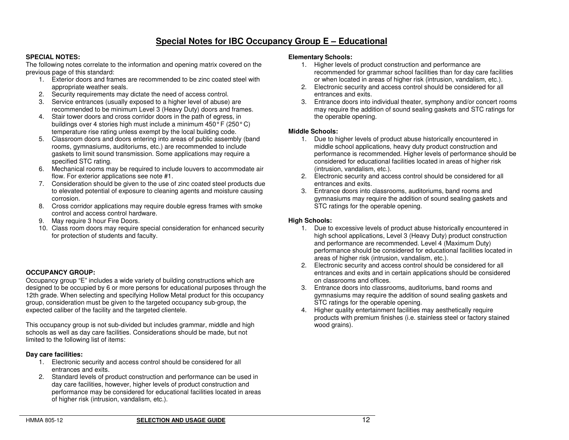### **Special Notes for IBC Occupancy Group E – Educational**

### **SPECIAL NOTES:**

 The following notes correlate to the information and opening matrix covered on the previous page of this standard:

- 1. Exterior doors and frames are recommended to be zinc coated steel with appropriate weather seals.
- 2. Security requirements may dictate the need of access control.
- 3. Service entrances (usually exposed to a higher level of abuse) are recommended to be minimum Level 3 (Heavy Duty) doors and frames.
- 4. Stair tower doors and cross corridor doors in the path of egress, in buildings over 4 stories high must include a minimum 450° F (250° C) temperature rise rating unless exempt by the local building code.
- 5. Classroom doors and doors entering into areas of public assembly (band rooms, gymnasiums, auditoriums, etc.) are recommended to include gaskets to limit sound transmission. Some applications may require a specified STC rating.
- 6. Mechanical rooms may be required to include louvers to accommodate air flow. For exterior applications see note #1.
- 7. Consideration should be given to the use of zinc coated steel products due to elevated potential of exposure to cleaning agents and moisture causing corrosion.
- 8. Cross corridor applications may require double egress frames with smoke control and access control hardware.
- 9. May require 3 hour Fire Doors.
- 10. Class room doors may require special consideration for enhanced security for protection of students and faculty.

### **OCCUPANCY GROUP:**

 Occupancy group "E" includes a wide variety of building constructions which are designed to be occupied by 6 or more persons for educational purposes through the 12th grade. When selecting and specifying Hollow Metal product for this occupancy group, consideration must be given to the targeted occupancy sub-group, the expected caliber of the facility and the targeted clientele.

This occupancy group is not sub-divided but includes grammar, middle and high schools as well as day care facilities. Considerations should be made, but not limited to the following list of items:

### **Day care facilities:**

- 1. Electronic security and access control should be considered for all entrances and exits.
- 2. Standard levels of product construction and performance can be used in day care facilities, however, higher levels of product construction and performance may be considered for educational facilities located in areas of higher risk (intrusion, vandalism, etc.).

### **Elementary Schools:**

- 1. Higher levels of product construction and performance are recommended for grammar school facilities than for day care facilities or when located in areas of higher risk (intrusion, vandalism, etc.).
- 2. Electronic security and access control should be considered for all entrances and exits.
- 3. Entrance doors into individual theater, symphony and/or concert rooms may require the addition of sound sealing gaskets and STC ratings for the operable opening.

### **Middle Schools:**

- 1. Due to higher levels of product abuse historically encountered in middle school applications, heavy duty product construction and performance is recommended. Higher levels of performance should be considered for educational facilities located in areas of higher risk (intrusion, vandalism, etc.).
- 2. Electronic security and access control should be considered for all entrances and exits.
- 3. Entrance doors into classrooms, auditoriums, band rooms and gymnasiums may require the addition of sound sealing gaskets and STC ratings for the operable opening.

### **High Schools:**

- 1. Due to excessive levels of product abuse historically encountered in high school applications, Level 3 (Heavy Duty) product construction and performance are recommended. Level 4 (Maximum Duty) performance should be considered for educational facilities located in areas of higher risk (intrusion, vandalism, etc.).
- 2. Electronic security and access control should be considered for all entrances and exits and in certain applications should be considered on classrooms and offices.
- 3. Entrance doors into classrooms, auditoriums, band rooms and gymnasiums may require the addition of sound sealing gaskets and STC ratings for the operable opening.
- 4. Higher quality entertainment facilities may aesthetically require products with premium finishes (i.e. stainless steel or factory stained wood grains).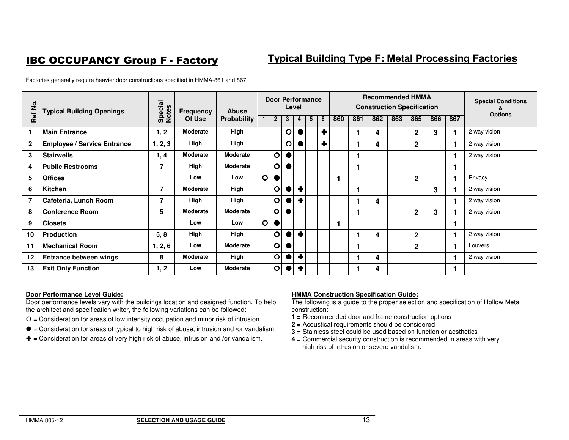# **IBC OCCUPANCY Group F - Factory**

# **Typical Building Type F: Metal Processing Factories**

Factories generally require heavier door constructions specified in HMMA-861 and 867

| Ref No.        | <b>Typical Building Openings</b>   | Special<br>Notes | <b>Frequency</b> | <b>Abuse</b> |             |              | <b>Door Performance</b> | Level |   |   |     |     |     |     | <b>Recommended HMMA</b><br><b>Construction Specification</b> |     |     | <b>Special Conditions</b><br>х |
|----------------|------------------------------------|------------------|------------------|--------------|-------------|--------------|-------------------------|-------|---|---|-----|-----|-----|-----|--------------------------------------------------------------|-----|-----|--------------------------------|
|                |                                    |                  | Of Use           | Probability  |             | $\mathbf{2}$ | 3                       |       | 5 | 6 | 860 | 861 | 862 | 863 | 865                                                          | 866 | 867 | <b>Options</b>                 |
|                | <b>Main Entrance</b>               | 1, 2             | <b>Moderate</b>  | High         |             |              | O                       |       |   | ÷ |     |     | 4   |     | $\mathbf{2}$                                                 | 3   |     | 2 way vision                   |
| $\mathbf{2}$   | <b>Employee / Service Entrance</b> | 1, 2, 3          | High             | High         |             |              | O                       |       |   | ٠ |     |     | 4   |     | $\mathbf{2}$                                                 |     |     | 2 way vision                   |
| 3              | <b>Stairwells</b>                  | 1, 4             | Moderate         | Moderate     |             | $\circ$      |                         |       |   |   |     |     |     |     |                                                              |     |     | 2 way vision                   |
| 4              | <b>Public Restrooms</b>            | 7                | High             | Moderate     |             | $\circ$      |                         |       |   |   |     |     |     |     |                                                              |     |     |                                |
| 5              | <b>Offices</b>                     |                  | Low              | Low          | $\mathbf O$ | $\bullet$    |                         |       |   |   |     |     |     |     | $\mathbf{2}$                                                 |     |     | Privacy                        |
| 6              | <b>Kitchen</b>                     | 7                | Moderate         | High         |             | O            |                         | ∔     |   |   |     |     |     |     |                                                              | 3   |     | 2 way vision                   |
| $\overline{7}$ | Cafeteria, Lunch Room              | 7                | High             | High         |             | $\circ$      |                         | ٠     |   |   |     |     | 4   |     |                                                              |     |     | 2 way vision                   |
| 8              | <b>Conference Room</b>             | 5                | <b>Moderate</b>  | Moderate     |             | $\circ$      |                         |       |   |   |     |     |     |     | 2                                                            | 3   |     | 2 way vision                   |
| 9              | <b>Closets</b>                     |                  | Low              | Low          | $\mathbf O$ | $\bullet$    |                         |       |   |   |     |     |     |     |                                                              |     |     |                                |
| 10             | <b>Production</b>                  | 5, 8             | High             | High         |             | $\mathbf O$  |                         | ٠     |   |   |     |     | 4   |     | $\mathbf{2}$                                                 |     |     | 2 way vision                   |
| 11             | <b>Mechanical Room</b>             | 1, 2, 6          | Low              | Moderate     |             | $\circ$      |                         |       |   |   |     |     |     |     | $\mathbf{2}$                                                 |     |     | Louvers                        |
| 12             | <b>Entrance between wings</b>      | 8                | <b>Moderate</b>  | High         |             | O            |                         | ∔     |   |   |     |     | 4   |     |                                                              |     |     | 2 way vision                   |
| 13             | <b>Exit Only Function</b>          | 1, 2             | Low              | Moderate     |             | $\circ$      |                         | ٠     |   |   |     |     | 4   |     |                                                              |     |     |                                |

### **Door Performance Level Guide:**

 Door performance levels vary with the buildings location and designed function. To help the architect and specification writer, the following variations can be followed:

- $O =$  Consideration for areas of low intensity occupation and minor risk of intrusion.
- $\bullet$  = Consideration for areas of typical to high risk of abuse, intrusion and /or vandalism.
- $\blacktriangleright$  = Consideration for areas of very high risk of abuse, intrusion and /or vandalism.

### **HMMA Construction Specification Guide:**

- **1 =** Recommended door and frame construction options
- **2 =** Acoustical requirements should be considered
- **3 =** Stainless steel could be used based on function or aesthetics
- **4 =** Commercial security construction is recommended in areas with very high risk of intrusion or severe vandalism.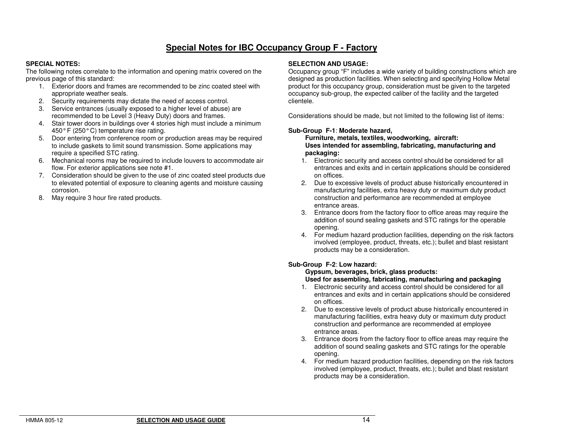# **Special Notes for IBC Occupancy Group F - Factory**

### **SPECIAL NOTES:**

 The following notes correlate to the information and opening matrix covered on the previous page of this standard:

- 1. Exterior doors and frames are recommended to be zinc coated steel with appropriate weather seals.
- 2. Security requirements may dictate the need of access control.
- 3. Service entrances (usually exposed to a higher level of abuse) are recommended to be Level 3 (Heavy Duty) doors and frames.
- 4. Stair tower doors in buildings over 4 stories high must include a minimum 450° F (250° C) temperature rise rating.
- 5. Door entering from conference room or production areas may be required to include gaskets to limit sound transmission. Some applications may require a specified STC rating.
- 6. Mechanical rooms may be required to include louvers to accommodate air flow. For exterior applications see note #1.
- 7. Consideration should be given to the use of zinc coated steel products due to elevated potential of exposure to cleaning agents and moisture causing corrosion.
- 8. May require 3 hour fire rated products.

#### **SELECTION AND USAGE:**

 Occupancy group "F" includes a wide variety of building constructions which are designed as production facilities. When selecting and specifying Hollow Metal product for this occupancy group, consideration must be given to the targeted occupancy sub-group, the expected caliber of the facility and the targeted clientele.

Considerations should be made, but not limited to the following list of items:

### **Sub-Group F-1**: **Moderate hazard,**

 **Furniture, metals, textiles, woodworking, aircraft: Uses intended for assembling, fabricating, manufacturing and packaging:** 

- 1. Electronic security and access control should be considered for all entrances and exits and in certain applications should be considered on offices.
- 2. Due to excessive levels of product abuse historically encountered in manufacturing facilities, extra heavy duty or maximum duty product construction and performance are recommended at employee entrance areas.
- 3. Entrance doors from the factory floor to office areas may require the addition of sound sealing gaskets and STC ratings for the operable opening.
- 4. For medium hazard production facilities, depending on the risk factors involved (employee, product, threats, etc.); bullet and blast resistant products may be a consideration.

### **Sub-Group F-2**: **Low hazard:**

# **Gypsum, beverages, brick, glass products:**

### **Used for assembling, fabricating, manufacturing and packaging**

- 1. Electronic security and access control should be considered for all entrances and exits and in certain applications should be considered on offices.
- 2. Due to excessive levels of product abuse historically encountered in manufacturing facilities, extra heavy duty or maximum duty product construction and performance are recommended at employee entrance areas.
- 3. Entrance doors from the factory floor to office areas may require the addition of sound sealing gaskets and STC ratings for the operable opening.
- 4. For medium hazard production facilities, depending on the risk factors involved (employee, product, threats, etc.); bullet and blast resistant products may be a consideration.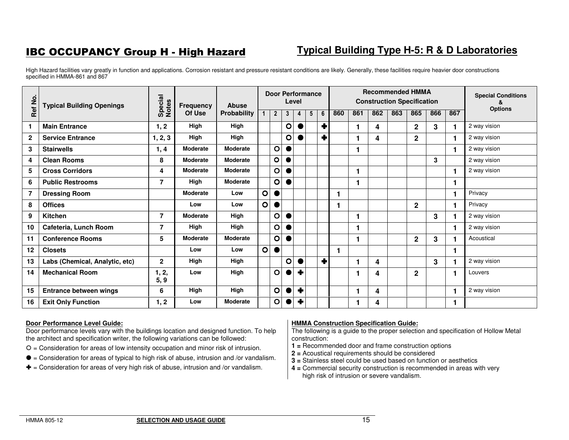# IBC OCCUPANCY Group H - High Hazard

# **Typical Building Type H-5: R & D Laboratories**

High Hazard facilities vary greatly in function and applications. Corrosion resistant and pressure resistant conditions are likely. Generally, these facilities require heavier door constructions specified in HMMA-861 and 867

| Ref No.        | <b>Typical Building Openings</b> | Special<br>Notes | <b>Frequency</b> | <b>Abuse</b>    |              | <b>Door Performance</b> |             | Level            |                 |   |     |     | <b>Recommended HMMA</b><br><b>Construction Specification</b> |     |                |     |     | <b>Special Conditions</b> |
|----------------|----------------------------------|------------------|------------------|-----------------|--------------|-------------------------|-------------|------------------|-----------------|---|-----|-----|--------------------------------------------------------------|-----|----------------|-----|-----|---------------------------|
|                |                                  |                  | Of Use           | Probability     |              | $\overline{2}$          | 3           | 4                | $5\overline{)}$ | 6 | 860 | 861 | 862                                                          | 863 | 865            | 866 | 867 | <b>Options</b>            |
| 1.             | <b>Main Entrance</b>             | 1, 2             | High             | High            |              |                         | $\circ$     | $\bullet$        |                 | ♣ |     |     | 4                                                            |     | $\mathbf{2}$   | 3   |     | 2 way vision              |
| $\mathbf{2}$   | <b>Service Entrance</b>          | 1, 2, 3          | High             | High            |              |                         | O           |                  |                 | ٠ |     |     | 4                                                            |     | $\overline{2}$ |     |     | 2 way vision              |
| 3              | <b>Stairwells</b>                | 1, 4             | <b>Moderate</b>  | <b>Moderate</b> |              | $\mathbf O$             |             |                  |                 |   |     |     |                                                              |     |                |     |     | 2 way vision              |
| 4              | <b>Clean Rooms</b>               | 8                | <b>Moderate</b>  | <b>Moderate</b> |              | $\circ$                 | $\bullet$   |                  |                 |   |     |     |                                                              |     |                | 3   |     | 2 way vision              |
| 5              | <b>Cross Corridors</b>           | 4                | <b>Moderate</b>  | <b>Moderate</b> |              | $\mathbf O$             |             |                  |                 |   |     |     |                                                              |     |                |     |     | 2 way vision              |
| 6              | <b>Public Restrooms</b>          | $\overline{7}$   | High             | <b>Moderate</b> |              | $\circ$                 |             |                  |                 |   |     |     |                                                              |     |                |     |     |                           |
| $\overline{7}$ | <b>Dressing Room</b>             |                  | <b>Moderate</b>  | Low             | $\circ$      | ●                       |             |                  |                 |   |     |     |                                                              |     |                |     | 1   | Privacy                   |
| 8              | <b>Offices</b>                   |                  | Low              | Low             | $\Omega$     | $\bullet$               |             |                  |                 |   |     |     |                                                              |     | $\mathbf{2}$   |     |     | Privacy                   |
| 9              | Kitchen                          | $\overline{7}$   | <b>Moderate</b>  | High            |              | O                       |             |                  |                 |   |     |     |                                                              |     |                | 3   |     | 2 way vision              |
| 10             | Cafeteria, Lunch Room            | $\overline{7}$   | High             | High            |              | O                       |             |                  |                 |   |     |     |                                                              |     |                |     |     | 2 way vision              |
| 11             | <b>Conference Rooms</b>          | 5                | <b>Moderate</b>  | <b>Moderate</b> |              | O                       |             |                  |                 |   |     |     |                                                              |     | $\mathbf{2}$   | 3   |     | Acoustical                |
| 12             | <b>Closets</b>                   |                  | Low              | Low             | $\mathbf{O}$ | $\bullet$               |             |                  |                 |   |     |     |                                                              |     |                |     |     |                           |
| 13             | Labs (Chemical, Analytic, etc)   | $\mathbf{2}$     | High             | High            |              |                         | $\mathbf O$ |                  |                 | ٠ |     |     | 4                                                            |     |                | 3   |     | 2 way vision              |
| 14             | <b>Mechanical Room</b>           | 1, 2,<br>5, 9    | Low              | High            |              | $\circ$                 |             | ٠                |                 |   |     |     | 4                                                            |     | $\mathbf{2}$   |     | 1   | Louvers                   |
| 15             | <b>Entrance between wings</b>    | 6                | High             | High            |              | $\circ$                 |             | ÷                |                 |   |     |     | 4                                                            |     |                |     |     | 2 way vision              |
| 16             | <b>Exit Only Function</b>        | 1, 2             | Low              | <b>Moderate</b> |              | $\circ$                 |             | $\ddot{\bullet}$ |                 |   |     |     | 4                                                            |     |                |     |     |                           |

### **Door Performance Level Guide:**

 Door performance levels vary with the buildings location and designed function. To help the architect and specification writer, the following variations can be followed:

- $O =$  Consideration for areas of low intensity occupation and minor risk of intrusion.
- $\bullet$  = Consideration for areas of typical to high risk of abuse, intrusion and /or vandalism.
- $\blacklozenge$  = Consideration for areas of very high risk of abuse, intrusion and /or vandalism.

### **HMMA Construction Specification Guide:**

- **1 =** Recommended door and frame construction options
- **2 =** Acoustical requirements should be considered
- **3 =** Stainless steel could be used based on function or aesthetics
- **4 =** Commercial security construction is recommended in areas with very high risk of intrusion or severe vandalism.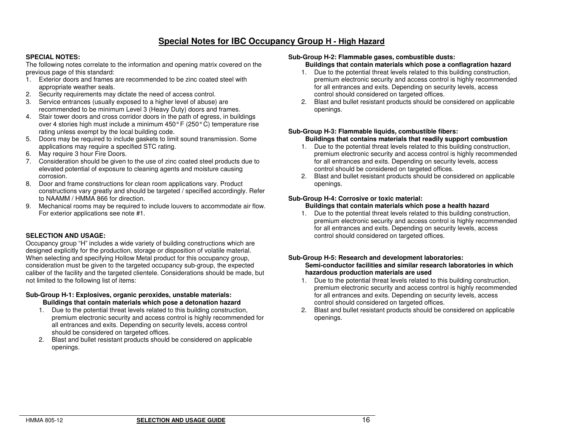### **Special Notes for IBC Occupancy Group H - High Hazard**

### **SPECIAL NOTES:**

 The following notes correlate to the information and opening matrix covered on the previous page of this standard:

- 1. Exterior doors and frames are recommended to be zinc coated steel with appropriate weather seals.
- 2. Security requirements may dictate the need of access control.
- 3. Service entrances (usually exposed to a higher level of abuse) are recommended to be minimum Level 3 (Heavy Duty) doors and frames.
- 4. Stair tower doors and cross corridor doors in the path of egress, in buildings over 4 stories high must include a minimum 450° F (250° C) temperature rise rating unless exempt by the local building code.
- 5. Doors may be required to include gaskets to limit sound transmission. Some applications may require a specified STC rating.
- 6. May require 3 hour Fire Doors.
- 7. Consideration should be given to the use of zinc coated steel products due to elevated potential of exposure to cleaning agents and moisture causing corrosion.
- 8. Door and frame constructions for clean room applications vary. Product constructions vary greatly and should be targeted / specified accordingly. Refer to NAAMM / HMMA 866 for direction.
- 9. Mechanical rooms may be required to include louvers to accommodate air flow. For exterior applications see note #1.

### **SELECTION AND USAGE:**

 Occupancy group "H" includes a wide variety of building constructions which are designed explicitly for the production, storage or disposition of volatile material. When selecting and specifying Hollow Metal product for this occupancy group, consideration must be given to the targeted occupancy sub-group, the expected caliber of the facility and the targeted clientele. Considerations should be made, but not limited to the following list of items:

### **Sub-Group H-1: Explosives, organic peroxides, unstable materials: Buildings that contain materials which pose a detonation hazard**

- 1. Due to the potential threat levels related to this building construction, premium electronic security and access control is highly recommended for all entrances and exits. Depending on security levels, access control should be considered on targeted offices.
- 2. Blast and bullet resistant products should be considered on applicable openings.

### **Sub-Group H-2: Flammable gases, combustible dusts:**

### **Buildings that contain materials which pose a conflagration hazard**

- 1. Due to the potential threat levels related to this building construction, premium electronic security and access control is highly recommended for all entrances and exits. Depending on security levels, access control should considered on targeted offices.
- 2. Blast and bullet resistant products should be considered on applicable openings.

### **Sub-Group H-3: Flammable liquids, combustible fibers: Buildings that contains materials that readily support combustion**

- 1. Due to the potential threat levels related to this building construction, premium electronic security and access control is highly recommended for all entrances and exits. Depending on security levels, access control should be considered on targeted offices.
- 2. Blast and bullet resistant products should be considered on applicable openings.

### **Sub-Group H-4: Corrosive or toxic material:**

### **Buildings that contain materials which pose a health hazard**

 1. Due to the potential threat levels related to this building construction, premium electronic security and access control is highly recommended for all entrances and exits. Depending on security levels, access control should considered on targeted offices.

#### **Sub-Group H-5: Research and development laboratories: Semi-conductor facilities and similar research laboratories in which hazardous production materials are used**

- 1. Due to the potential threat levels related to this building construction, premium electronic security and access control is highly recommended for all entrances and exits. Depending on security levels, access control should considered on targeted offices.
- 2. Blast and bullet resistant products should be considered on applicable openings.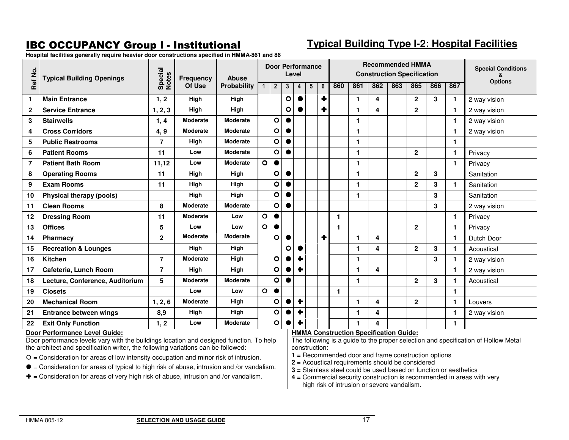# **IBC OCCUPANCY Group I - Institutional**

# **Typical Building Type I-2: Hospital Facilities**

**Hospital facilities generally require heavier door constructions specified in HMMA-861 and 86** 

| Ref No.        | <b>Typical Building Openings</b> | Special<br>Notes | Frequency       | <b>Abuse</b>       |              |                | Level     |                      | <b>Door Performance</b> |   |     |     |                                               |     | <b>Recommended HMMA</b><br><b>Construction Specification</b> |     |              | <b>Special Conditions</b><br>ጼ |
|----------------|----------------------------------|------------------|-----------------|--------------------|--------------|----------------|-----------|----------------------|-------------------------|---|-----|-----|-----------------------------------------------|-----|--------------------------------------------------------------|-----|--------------|--------------------------------|
|                |                                  |                  | Of Use          | <b>Probability</b> | 1            | $\overline{2}$ | 3         | 4                    | 5                       | 6 | 860 | 861 | 862                                           | 863 | 865                                                          | 866 | 867          | <b>Options</b>                 |
| 1              | <b>Main Entrance</b>             | 1, 2             | High            | High               |              |                | $\circ$   |                      |                         | ٠ |     | 1.  | 4                                             |     | $\mathbf 2$                                                  | 3   | 1.           | 2 way vision                   |
| $\mathbf{2}$   | <b>Service Entrance</b>          | 1, 2, 3          | High            | High               |              |                | O         |                      |                         | ♣ |     | 1   | 4                                             |     | $\mathbf{2}$                                                 |     |              | 2 way vision                   |
| 3              | <b>Stairwells</b>                | 1, 4             | <b>Moderate</b> | <b>Moderate</b>    |              | $\circ$        |           |                      |                         |   |     | 1.  |                                               |     |                                                              |     | 1.           | 2 way vision                   |
| 4              | <b>Cross Corridors</b>           | 4, 9             | <b>Moderate</b> | <b>Moderate</b>    |              | $\circ$        |           |                      |                         |   |     | 1   |                                               |     |                                                              |     | $\mathbf{1}$ | 2 way vision                   |
| 5              | <b>Public Restrooms</b>          | $\overline{7}$   | High            | <b>Moderate</b>    |              | $\circ$        |           |                      |                         |   |     | 1   |                                               |     |                                                              |     | $\mathbf{1}$ |                                |
| 6              | <b>Patient Rooms</b>             | 11               | Low             | <b>Moderate</b>    |              | $\circ$        |           |                      |                         |   |     | 1.  |                                               |     | $\mathbf{2}$                                                 |     | $\mathbf{1}$ | Privacy                        |
| $\overline{7}$ | <b>Patient Bath Room</b>         | 11,12            | Low             | <b>Moderate</b>    | $\circ$      | $\bullet$      |           |                      |                         |   |     | 1   |                                               |     |                                                              |     | $\mathbf{1}$ | Privacy                        |
| 8              | <b>Operating Rooms</b>           | 11               | High            | High               |              | $\circ$        |           |                      |                         |   |     | 1   |                                               |     | $\mathbf{2}$                                                 | 3   |              | Sanitation                     |
| 9              | <b>Exam Rooms</b>                | 11               | High            | High               |              | $\bullet$      |           |                      |                         |   |     | 1   |                                               |     | $\mathbf 2$                                                  | 3   |              | Sanitation                     |
| 10             | Physical therapy (pools)         |                  | High            | High               |              | $\circ$        |           |                      |                         |   |     | 1.  |                                               |     |                                                              | 3   |              | Sanitation                     |
| 11             | <b>Clean Rooms</b>               | 8                | <b>Moderate</b> | <b>Moderate</b>    |              | $\circ$        | $\bullet$ |                      |                         |   |     |     |                                               |     |                                                              | 3   |              | 2 way vision                   |
| 12             | <b>Dressing Room</b>             | 11               | <b>Moderate</b> | Low                | $\mathbf O$  | $\bullet$      |           |                      |                         |   | 1   |     |                                               |     |                                                              |     | $\mathbf{1}$ | Privacy                        |
| 13             | <b>Offices</b>                   | 5                | Low             | Low                | $\circ$      | $\bullet$      |           |                      |                         |   | 1   |     |                                               |     | $\mathbf{2}$                                                 |     | $\mathbf{1}$ | Privacy                        |
| 14             | <b>Pharmacy</b>                  | $\overline{2}$   | <b>Moderate</b> | Moderate           |              | $\mathbf{o}$   |           |                      |                         | ٠ |     | 1   | 4                                             |     |                                                              |     | $\mathbf{1}$ | Dutch Door                     |
| 15             | <b>Recreation &amp; Lounges</b>  |                  | High            | High               |              |                | О         |                      |                         |   |     | 1   | 4                                             |     | $\mathbf{2}$                                                 | 3   |              | Acoustical                     |
| 16             | Kitchen                          | $\overline{7}$   | <b>Moderate</b> | High               |              | $\circ$        |           |                      |                         |   |     | 1.  |                                               |     |                                                              | 3   |              | 2 way vision                   |
| 17             | Cafeteria, Lunch Room            | $\overline{7}$   | High            | High               |              | $\circ$        |           | ٠                    |                         |   |     | 1.  | 4                                             |     |                                                              |     |              | 2 way vision                   |
| 18             | Lecture, Conference, Auditorium  | 5                | <b>Moderate</b> | <b>Moderate</b>    |              | $\circ$        | $\bullet$ |                      |                         |   |     | 1.  |                                               |     | $\mathbf 2$                                                  | 3   |              | Acoustical                     |
| 19             | <b>Closets</b>                   |                  | Low             | Low                | $\mathbf{o}$ | $\bullet$      |           |                      |                         |   | 1   |     |                                               |     |                                                              |     | $\mathbf{1}$ |                                |
| 20             | <b>Mechanical Room</b>           | 1, 2, 6          | <b>Moderate</b> | High               |              | $\circ$        |           | $\ddot{\phantom{1}}$ |                         |   |     | 1.  | 4                                             |     | $\mathbf{2}$                                                 |     | $\mathbf{1}$ | Louvers                        |
| 21             | Entrance between wings           | 8,9              | High            | High               |              | О              |           | ╋                    |                         |   |     | 1   | 4                                             |     |                                                              |     | $\mathbf{1}$ | 2 way vision                   |
| 22             | <b>Exit Only Function</b>        | 1, 2             | Low             | <b>Moderate</b>    |              | O              |           |                      |                         |   |     | 1   | $\boldsymbol{\Lambda}$                        |     |                                                              |     | 1.           |                                |
|                | Door Performance Level Guide:    |                  |                 |                    |              |                |           |                      |                         |   |     |     | <b>HMMA Construction Specification Guide:</b> |     |                                                              |     |              |                                |

### **Door Performance Level Guide:**

 Door performance levels vary with the buildings location and designed function. To help the architect and specification writer, the following variations can be followed:

 $O =$  Consideration for areas of low intensity occupation and minor risk of intrusion.

- $\bullet$  = Consideration for areas of typical to high risk of abuse, intrusion and /or vandalism.
- $\blacklozenge$  = Consideration for areas of very high risk of abuse, intrusion and /or vandalism.

- **1 =** Recommended door and frame construction options
- **2 =** Acoustical requirements should be considered
- **3 =** Stainless steel could be used based on function or aesthetics
- **4 =** Commercial security construction is recommended in areas with very high risk of intrusion or severe vandalism.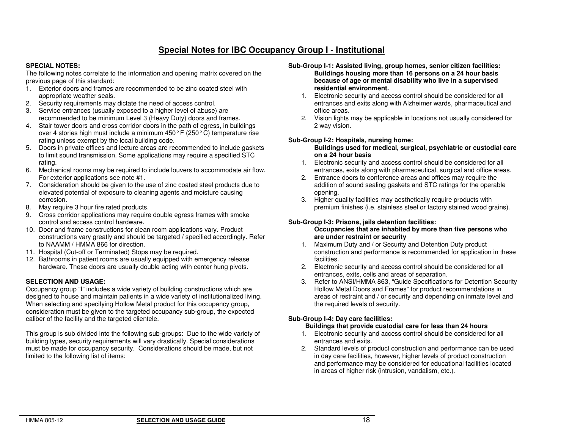### **Special Notes for IBC Occupancy Group I - Institutional**

### **SPECIAL NOTES:**

 The following notes correlate to the information and opening matrix covered on the previous page of this standard:

- 1. Exterior doors and frames are recommended to be zinc coated steel with appropriate weather seals.
- 2. Security requirements may dictate the need of access control.
- 3. Service entrances (usually exposed to a higher level of abuse) are recommended to be minimum Level 3 (Heavy Duty) doors and frames.
- 4. Stair tower doors and cross corridor doors in the path of egress, in buildings over 4 stories high must include a minimum 450° F (250° C) temperature rise rating unless exempt by the local building code.
- 5. Doors in private offices and lecture areas are recommended to include gaskets to limit sound transmission. Some applications may require a specified STC rating.
- 6. Mechanical rooms may be required to include louvers to accommodate air flow. For exterior applications see note #1.
- 7. Consideration should be given to the use of zinc coated steel products due to elevated potential of exposure to cleaning agents and moisture causing corrosion.
- 8. May require 3 hour fire rated products.
- 9. Cross corridor applications may require double egress frames with smoke control and access control hardware.
- 10. Door and frame constructions for clean room applications vary. Product constructions vary greatly and should be targeted / specified accordingly. Refer to NAAMM / HMMA 866 for direction.
- 11. Hospital (Cut-off or Terminated) Stops may be required.
- 12. Bathrooms in patient rooms are usually equipped with emergency release hardware. These doors are usually double acting with center hung pivots.

### **SELECTION AND USAGE:**

 Occupancy group "I" includes a wide variety of building constructions which are designed to house and maintain patients in a wide variety of institutionalized living. When selecting and specifying Hollow Metal product for this occupancy group, consideration must be given to the targeted occupancy sub-group, the expected caliber of the facility and the targeted clientele.

This group is sub divided into the following sub-groups: Due to the wide variety of building types, security requirements will vary drastically. Special considerations must be made for occupancy security. Considerations should be made, but not limited to the following list of items:

- **Sub-Group I-1: Assisted living, group homes, senior citizen facilities: Buildings housing more than 16 persons on a 24 hour basis because of age or mental disability who live in a supervised residential environment.** 
	- 1. Electronic security and access control should be considered for all entrances and exits along with Alzheimer wards, pharmaceutical and office areas.
	- 2. Vision lights may be applicable in locations not usually considered for 2 way vision.

### **Sub-Group I-2: Hospitals, nursing home:**

### **Buildings used for medical, surgical, psychiatric or custodial care on a 24 hour basis**

- 1. Electronic security and access control should be considered for all entrances, exits along with pharmaceutical, surgical and office areas.
- 2. Entrance doors to conference areas and offices may require the addition of sound sealing gaskets and STC ratings for the operable opening.
- 3. Higher quality facilities may aesthetically require products with premium finishes (i.e. stainless steel or factory stained wood grains).

### **Sub-Group I-3: Prisons, jails detention facilities:**

### **Occupancies that are inhabited by more than five persons who are under restraint or security**

- 1. Maximum Duty and / or Security and Detention Duty product construction and performance is recommended for application in these facilities.
- 2. Electronic security and access control should be considered for all entrances, exits, cells and areas of separation.
- 3. Refer to ANSI/HMMA 863, "Guide Specifications for Detention Security Hollow Metal Doors and Frames" for product recommendations in areas of restraint and / or security and depending on inmate level and the required levels of security.

### **Sub-Group I-4: Day care facilities:**

### **Buildings that provide custodial care for less than 24 hours**

- 1. Electronic security and access control should be considered for all entrances and exits.
- 2. Standard levels of product construction and performance can be used in day care facilities, however, higher levels of product construction and performance may be considered for educational facilities located in areas of higher risk (intrusion, vandalism, etc.).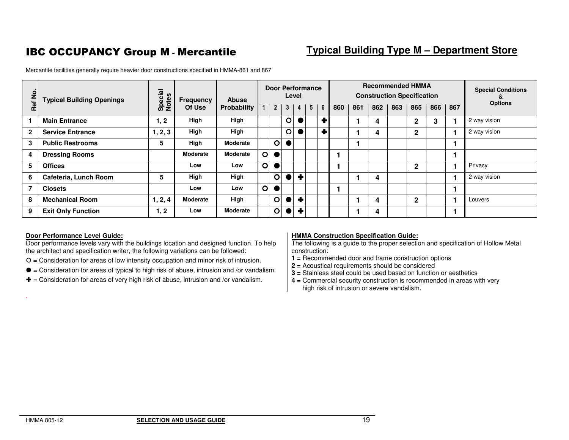# IBC OCCUPANCY Group M - Mercantile

# **Typical Building Type M – Department Store**

**Ref No. Typical Building Openings Special Frequency Abuse<br>
Of Use Probability Door Performance Level Recommended HMMA Construction Specification Special Conditions & Options** 1 2 3 4 5 6 860 861 862 863 865 866 867 Options <sup>2</sup> <sup>3</sup> <sup>4</sup> <sup>5</sup> <sup>6</sup> **<sup>860</sup> <sup>861</sup> <sup>862</sup> <sup>863</sup> <sup>865</sup> <sup>866</sup> <sup>867</sup>** 1 | Main Entrance **1, 2** | High | High | | | **O**  $\frac{\bullet}{\bullet}$ **1** 4 2 3 1 <sup>2</sup> way vision **2** Service Entrance 1, 2, 3 3 | High | High | | | | | O  $\frac{0}{\bullet}$ **1 4 1 2 1 2** way vision **3 Public Restrooms 5 High Moderate**  $\circ$  **1 1 4 Dressing Rooms and The Moderate Moderate | O**  $\frac{\bullet}{\bullet}$  **1 1 5 Offices Low Low**  $\circ$ **1** | | | | **2** | | **1 Privacy 6 Cafeteria, Lunch Room 5 High High**  $\frac{\circ}{\bullet}$ **1 1 4 1 1 2** way vision **7 Closets Low Low**  $\Omega$  **1 1 8** Mechanical Room 1, 2, 4 **Moderate High**  $\frac{\circ}{\circ}$ **1** 4 2 1 Louvers **9 Exit Only Function 1, 2 Low Moderate**  $\circ$ **0 + 1** 1 4 1 1 1

Mercantile facilities generally require heavier door constructions specified in HMMA-861 and 867

### **Door Performance Level Guide:**

 Door performance levels vary with the buildings location and designed function. To help the architect and specification writer, the following variations can be followed:

- $O =$  Consideration for areas of low intensity occupation and minor risk of intrusion.
- $\bullet$  = Consideration for areas of typical to high risk of abuse, intrusion and /or vandalism.
- $\blacktriangleright$  = Consideration for areas of very high risk of abuse, intrusion and /or vandalism.

### **HMMA Construction Specification Guide:**

 The following is a guide to the proper selection and specification of Hollow Metal construction:

- **1 =** Recommended door and frame construction options
- **2 =** Acoustical requirements should be considered
- **3 =** Stainless steel could be used based on function or aesthetics
- **4 =** Commercial security construction is recommended in areas with very high risk of intrusion or severe vandalism.

.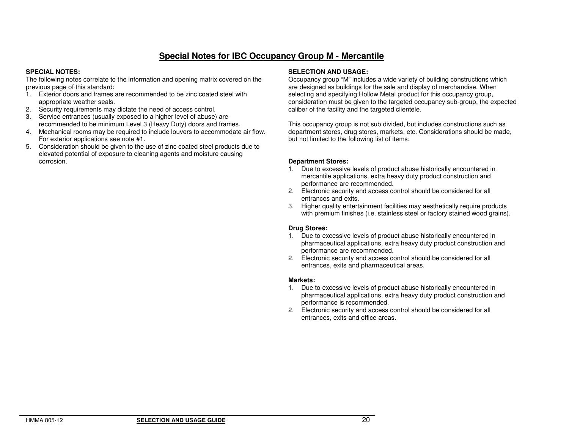# **Special Notes for IBC Occupancy Group M - Mercantile**

### **SPECIAL NOTES:**

 The following notes correlate to the information and opening matrix covered on the previous page of this standard:

- 1. Exterior doors and frames are recommended to be zinc coated steel with appropriate weather seals.
- 2. Security requirements may dictate the need of access control.
- 3. Service entrances (usually exposed to a higher level of abuse) are recommended to be minimum Level 3 (Heavy Duty) doors and frames.
- 4. Mechanical rooms may be required to include louvers to accommodate air flow. For exterior applications see note #1.
- 5. Consideration should be given to the use of zinc coated steel products due to elevated potential of exposure to cleaning agents and moisture causing corrosion.

#### **SELECTION AND USAGE:**

 Occupancy group "M" includes a wide variety of building constructions which are designed as buildings for the sale and display of merchandise. When selecting and specifying Hollow Metal product for this occupancy group, consideration must be given to the targeted occupancy sub-group, the expected caliber of the facility and the targeted clientele.

This occupancy group is not sub divided, but includes constructions such as department stores, drug stores, markets, etc. Considerations should be made, but not limited to the following list of items:

#### **Department Stores:**

- 1. Due to excessive levels of product abuse historically encountered in mercantile applications, extra heavy duty product construction and performance are recommended.
- 2. Electronic security and access control should be considered for all entrances and exits.
- 3. Higher quality entertainment facilities may aesthetically require products with premium finishes (i.e. stainless steel or factory stained wood grains).

### **Drug Stores:**

- 1. Due to excessive levels of product abuse historically encountered in pharmaceutical applications, extra heavy duty product construction and performance are recommended.
- 2. Electronic security and access control should be considered for all entrances, exits and pharmaceutical areas.

#### **Markets:**

- 1. Due to excessive levels of product abuse historically encountered in pharmaceutical applications, extra heavy duty product construction and performance is recommended.
- 2. Electronic security and access control should be considered for all entrances, exits and office areas.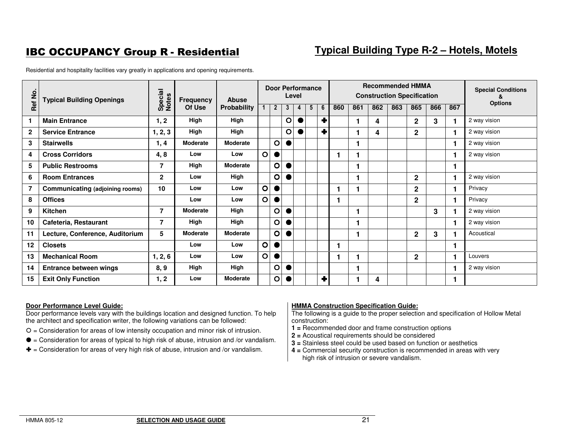# **IBC OCCUPANCY Group R - Residential**

# **Typical Building Type R-2 – Hotels, Motels**

Residential and hospitality facilities vary greatly in applications and opening requirements.

| Ref No.        | <b>Typical Building Openings</b> | Special<br>Notes | <b>Frequency</b> | <b>Abuse</b>       |              |                         |   | Level | <b>Door Performance</b> |   |     |     |     | <b>Recommended HMMA</b><br><b>Construction Specification</b> |                |     |     | <b>Special Conditions</b><br>& |
|----------------|----------------------------------|------------------|------------------|--------------------|--------------|-------------------------|---|-------|-------------------------|---|-----|-----|-----|--------------------------------------------------------------|----------------|-----|-----|--------------------------------|
|                |                                  |                  | Of Use           | <b>Probability</b> | 1            | $\overline{2}$          | 3 | 4     | 5                       | 6 | 860 | 861 | 862 | 863                                                          | 865            | 866 | 867 | <b>Options</b>                 |
| 1              | <b>Main Entrance</b>             | 1, 2             | High             | High               |              |                         | O |       |                         | ٠ |     |     | 4   |                                                              | $\mathbf{2}$   | 3   |     | 2 way vision                   |
| $\mathbf{2}$   | <b>Service Entrance</b>          | 1, 2, 3          | High             | High               |              |                         | O |       |                         | Ŧ |     |     | 4   |                                                              | $\mathbf{2}$   |     |     | 2 way vision                   |
| 3              | <b>Stairwells</b>                | 1, 4             | <b>Moderate</b>  | <b>Moderate</b>    |              | $\circ$                 |   |       |                         |   |     |     |     |                                                              |                |     |     | 2 way vision                   |
| 4              | <b>Cross Corridors</b>           | 4,8              | Low              | Low                | $\circ$      | ●                       |   |       |                         |   |     |     |     |                                                              |                |     |     | 2 way vision                   |
| 5              | <b>Public Restrooms</b>          | 7                | High             | <b>Moderate</b>    |              | O                       |   |       |                         |   |     |     |     |                                                              |                |     |     |                                |
| 6              | <b>Room Entrances</b>            | $\mathbf{2}$     | Low              | High               |              | O                       |   |       |                         |   |     |     |     |                                                              | $\mathbf{2}$   |     |     | 2 way vision                   |
| $\overline{7}$ | Communicating (adjoining rooms)  | 10               | Low              | Low                | $\circ$      |                         |   |       |                         |   |     |     |     |                                                              | $\mathbf{2}$   |     | ۴   | Privacy                        |
| 8              | <b>Offices</b>                   |                  | Low              | Low                | $\mathbf{o}$ |                         |   |       |                         |   |     |     |     |                                                              | $\overline{2}$ |     |     | Privacy                        |
| 9              | Kitchen                          | 7                | <b>Moderate</b>  | High               |              | O                       |   |       |                         |   |     |     |     |                                                              |                | 3   |     | 2 way vision                   |
| 10             | Cafeteria, Restaurant            | 7                | High             | High               |              | $\overline{\mathsf{O}}$ |   |       |                         |   |     |     |     |                                                              |                |     |     | 2 way vision                   |
| 11             | Lecture, Conference, Auditorium  | 5                | <b>Moderate</b>  | <b>Moderate</b>    |              | $\overline{\mathsf{O}}$ |   |       |                         |   |     | 1   |     |                                                              | $\mathbf{2}$   | 3   |     | Acoustical                     |
| $12 \,$        | <b>Closets</b>                   |                  | Low              | Low                | $\circ$      |                         |   |       |                         |   |     |     |     |                                                              |                |     |     |                                |
| 13             | <b>Mechanical Room</b>           | 1, 2, 6          | Low              | Low                | $\mathbf{o}$ | ●                       |   |       |                         |   |     |     |     |                                                              | $\overline{2}$ |     |     | Louvers                        |
| 14             | <b>Entrance between wings</b>    | 8, 9             | High             | High               |              | $\circ$                 |   |       |                         |   |     |     |     |                                                              |                |     |     | 2 way vision                   |
| 15             | <b>Exit Only Function</b>        | 1, 2             | Low              | Moderate           |              | $\circ$                 |   |       |                         | ٠ |     |     | 4   |                                                              |                |     |     |                                |

#### **Door Performance Level Guide:**

 Door performance levels vary with the buildings location and designed function. To help the architect and specification writer, the following variations can be followed:

- $O =$  Consideration for areas of low intensity occupation and minor risk of intrusion.
- $\bullet$  = Consideration for areas of typical to high risk of abuse, intrusion and /or vandalism.
- $\blacktriangleright$  = Consideration for areas of very high risk of abuse, intrusion and /or vandalism.

### **HMMA Construction Specification Guide:**

- **1 =** Recommended door and frame construction options
- **2 =** Acoustical requirements should be considered
- **3 =** Stainless steel could be used based on function or aesthetics
- **4 =** Commercial security construction is recommended in areas with very high risk of intrusion or severe vandalism.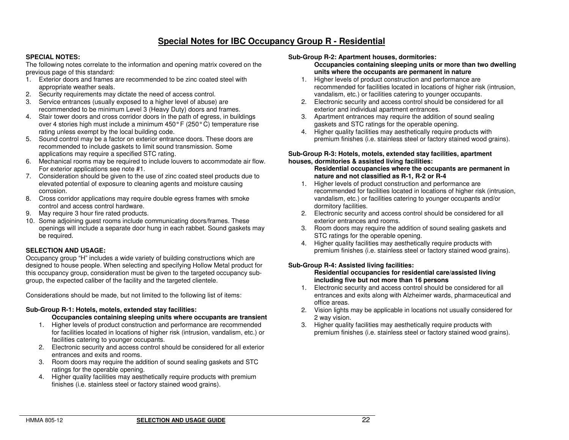### **Special Notes for IBC Occupancy Group R - Residential**

### **SPECIAL NOTES:**

 The following notes correlate to the information and opening matrix covered on the previous page of this standard:

- 1. Exterior doors and frames are recommended to be zinc coated steel with appropriate weather seals.
- 2. Security requirements may dictate the need of access control.
- 3. Service entrances (usually exposed to a higher level of abuse) are recommended to be minimum Level 3 (Heavy Duty) doors and frames.
- 4. Stair tower doors and cross corridor doors in the path of egress, in buildings over 4 stories high must include a minimum 450° F (250° C) temperature rise rating unless exempt by the local building code.
- 5. Sound control may be a factor on exterior entrance doors. These doors are recommended to include gaskets to limit sound transmission. Some applications may require a specified STC rating.
- 6. Mechanical rooms may be required to include louvers to accommodate air flow. For exterior applications see note #1.
- 7. Consideration should be given to the use of zinc coated steel products due to elevated potential of exposure to cleaning agents and moisture causing corrosion.
- 8. Cross corridor applications may require double egress frames with smoke control and access control hardware.
- 9. May require 3 hour fire rated products.
- 10. Some adjoining guest rooms include communicating doors/frames. These openings will include a separate door hung in each rabbet. Sound gaskets may be required.

### **SELECTION AND USAGE:**

 Occupancy group "H" includes a wide variety of building constructions which are designed to house people. When selecting and specifying Hollow Metal product for this occupancy group, consideration must be given to the targeted occupancy subgroup, the expected caliber of the facility and the targeted clientele.

Considerations should be made, but not limited to the following list of items:

### **Sub-Group R-1: Hotels, motels, extended stay facilities:**

#### **Occupancies containing sleeping units where occupants are transient**

- 1. Higher levels of product construction and performance are recommended for facilities located in locations of higher risk (intrusion, vandalism, etc.) or facilities catering to younger occupants.
- 2. Electronic security and access control should be considered for all exterior entrances and exits and rooms.
- 3. Room doors may require the addition of sound sealing gaskets and STC ratings for the operable opening.
- 4. Higher quality facilities may aesthetically require products with premium finishes (i.e. stainless steel or factory stained wood grains).

#### **Sub-Group R-2: Apartment houses, dormitories:**

 **Occupancies containing sleeping units or more than two dwelling units where the occupants are permanent in nature** 

- 1. Higher levels of product construction and performance are recommended for facilities located in locations of higher risk (intrusion, vandalism, etc.) or facilities catering to younger occupants.
- 2. Electronic security and access control should be considered for all exterior and individual apartment entrances.
- 3. Apartment entrances may require the addition of sound sealing gaskets and STC ratings for the operable opening.
- 4. Higher quality facilities may aesthetically require products with premium finishes (i.e. stainless steel or factory stained wood grains).

#### **Sub-Group R-3: Hotels, motels, extended stay facilities, apartment houses, dormitories & assisted living facilities:**

 **Residential occupancies where the occupants are permanent in nature and not classified as R-1, R-2 or R-4** 

- 1. Higher levels of product construction and performance are recommended for facilities located in locations of higher risk (intrusion, vandalism, etc.) or facilities catering to younger occupants and/or dormitory facilities.
- 2. Electronic security and access control should be considered for all exterior entrances and rooms.
- 3. Room doors may require the addition of sound sealing gaskets and STC ratings for the operable opening.
- 4. Higher quality facilities may aesthetically require products with premium finishes (i.e. stainless steel or factory stained wood grains).

### **Sub-Group R-4: Assisted living facilities:**

#### **Residential occupancies for residential care/assisted living including five but not more than 16 persons**

- 1. Electronic security and access control should be considered for all entrances and exits along with Alzheimer wards, pharmaceutical and office areas.
- 2. Vision lights may be applicable in locations not usually considered for 2 way vision.
- 3. Higher quality facilities may aesthetically require products with premium finishes (i.e. stainless steel or factory stained wood grains).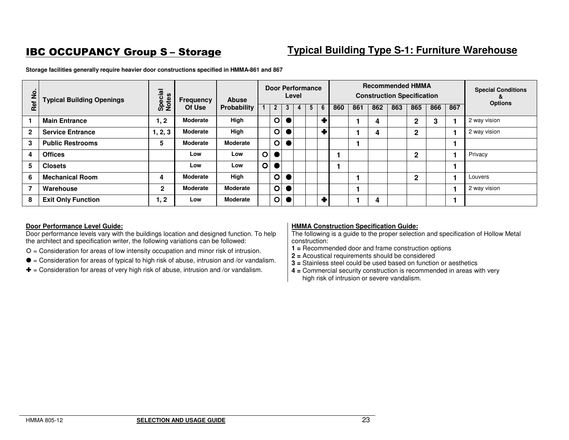# **IBC OCCUPANCY Group S-Storage**

# **Typical Building Type S-1: Furniture Warehouse**

| $\overline{2}$           | <b>Typical Building Openings</b> | Special<br>Notes | Frequency       | <b>Abuse</b>    |         |                         |   | Level | <b>Door Performance</b> |   |     |     | <b>Recommended HMMA</b><br><b>Construction Specification</b> |     |              |     |     | <b>Special Conditions</b><br><b>Options</b> |
|--------------------------|----------------------------------|------------------|-----------------|-----------------|---------|-------------------------|---|-------|-------------------------|---|-----|-----|--------------------------------------------------------------|-----|--------------|-----|-----|---------------------------------------------|
| Ref                      |                                  |                  | Of Use          | Probability     |         | $\mathbf{2}$            | 3 | 4     | 5 <sup>5</sup>          | 6 | 860 | 861 | 862                                                          | 863 | 865          | 866 | 867 |                                             |
|                          | <b>Main Entrance</b>             | 1, 2             | <b>Moderate</b> | High            |         | $\circ$                 |   |       |                         | Ŧ |     |     | 4                                                            |     | 2            | 3   |     | 2 way vision                                |
| $\overline{2}$           | <b>Service Entrance</b>          | 1, 2, 3          | <b>Moderate</b> | High            |         | $\circ$                 |   |       |                         | ┳ |     |     | 4                                                            |     | $\mathbf{2}$ |     |     | 2 way vision                                |
| 3                        | <b>Public Restrooms</b>          | 5                | <b>Moderate</b> | Moderate        |         | $\circ$                 |   |       |                         |   |     |     |                                                              |     |              |     |     |                                             |
| 4                        | <b>Offices</b>                   |                  | Low             | Low             | $\circ$ |                         |   |       |                         |   |     |     |                                                              |     | 2            |     |     | Privacy                                     |
| 5                        | <b>Closets</b>                   |                  | Low             | Low             | $\circ$ |                         |   |       |                         |   |     |     |                                                              |     |              |     |     |                                             |
| 6                        | <b>Mechanical Room</b>           | 4                | <b>Moderate</b> | High            |         | $\circ$                 |   |       |                         |   |     |     |                                                              |     | $\mathbf{2}$ |     |     | Louvers                                     |
| $\overline{\phantom{a}}$ | Warehouse                        | $\mathbf{2}$     | <b>Moderate</b> | <b>Moderate</b> |         | $\overline{\mathbf{O}}$ |   |       |                         |   |     |     |                                                              |     |              |     |     | 2 way vision                                |
| 8                        | <b>Exit Only Function</b>        | 1, 2             | Low             | <b>Moderate</b> |         | $\overline{O}$          |   |       |                         |   |     |     | 4                                                            |     |              |     |     |                                             |

**Storage facilities generally require heavier door constructions specified in HMMA-861 and 867** 

### **Door Performance Level Guide:**

 Door performance levels vary with the buildings location and designed function. To help the architect and specification writer, the following variations can be followed:

- $O =$  Consideration for areas of low intensity occupation and minor risk of intrusion.
- $\bullet$  = Consideration for areas of typical to high risk of abuse, intrusion and /or vandalism.
- $\blacklozenge$  = Consideration for areas of very high risk of abuse, intrusion and /or vandalism.

### **HMMA Construction Specification Guide:**

- **1 =** Recommended door and frame construction options
- **2 =** Acoustical requirements should be considered
- **3 =** Stainless steel could be used based on function or aesthetics
- **4 =** Commercial security construction is recommended in areas with very high risk of intrusion or severe vandalism.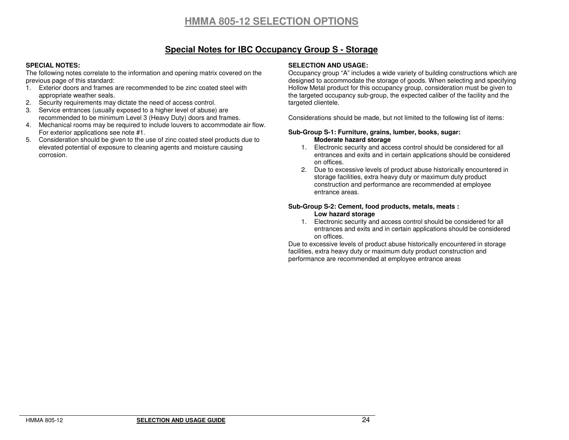# **HMMA 805-12 SELECTION OPTIONS**

### **Special Notes for IBC Occupancy Group S - Storage**

### **SPECIAL NOTES:**

 The following notes correlate to the information and opening matrix covered on the previous page of this standard:

- 1. Exterior doors and frames are recommended to be zinc coated steel with appropriate weather seals.
- 2. Security requirements may dictate the need of access control.
- 3. Service entrances (usually exposed to a higher level of abuse) are recommended to be minimum Level 3 (Heavy Duty) doors and frames.
- 4. Mechanical rooms may be required to include louvers to accommodate air flow. For exterior applications see note #1.
- 5. Consideration should be given to the use of zinc coated steel products due to elevated potential of exposure to cleaning agents and moisture causing corrosion.

#### **SELECTION AND USAGE:**

 Occupancy group "A" includes a wide variety of building constructions which are designed to accommodate the storage of goods. When selecting and specifying Hollow Metal product for this occupancy group, consideration must be given to the targeted occupancy sub-group, the expected caliber of the facility and the targeted clientele.

Considerations should be made, but not limited to the following list of items:

#### **Sub-Group S-1: Furniture, grains, lumber, books, sugar: Moderate hazard storage**

- 1. Electronic security and access control should be considered for all entrances and exits and in certain applications should be considered on offices.
- 2. Due to excessive levels of product abuse historically encountered in storage facilities, extra heavy duty or maximum duty product construction and performance are recommended at employee entrance areas.

### **Sub-Group S-2: Cement, food products, metals, meats : Low hazard storage**

 1. Electronic security and access control should be considered for all entrances and exits and in certain applications should be considered on offices.

 Due to excessive levels of product abuse historically encountered in storage facilities, extra heavy duty or maximum duty product construction and performance are recommended at employee entrance areas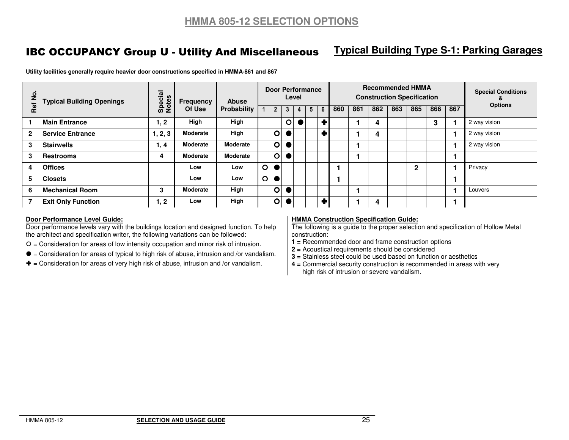# IBC OCCUPANCY Group U - Utility And Miscellaneous

# **Typical Building Type S-1: Parking Garages**

| $\overline{2}$   | <b>Typical Building Openings</b> | Special<br>Notes | <b>Frequency</b><br>Of Use | <b>Abuse</b><br>Probability | Door Performance<br>Level |              |         |   | <b>Recommended HMMA</b><br><b>Construction Specification</b> |           |     |     | <b>Special Conditions</b><br>ă |     |              |     |     |                |
|------------------|----------------------------------|------------------|----------------------------|-----------------------------|---------------------------|--------------|---------|---|--------------------------------------------------------------|-----------|-----|-----|--------------------------------|-----|--------------|-----|-----|----------------|
| Ref <sub>l</sub> |                                  |                  |                            |                             |                           | $\mathbf{2}$ | 3       | 4 | 5 <sup>1</sup>                                               | 6         | 860 | 861 | 862                            | 863 | 865          | 866 | 867 | <b>Options</b> |
|                  | <b>Main Entrance</b>             | 1, 2             | High                       | High                        |                           |              | $\circ$ |   |                                                              | $\ddot{}$ |     |     | 4                              |     |              | 3   |     | 2 way vision   |
| $\mathbf{2}$     | <b>Service Entrance</b>          | 1, 2, 3          | <b>Moderate</b>            | High                        |                           | $\circ$      |         |   |                                                              | ٠         |     |     | 4                              |     |              |     |     | 2 way vision   |
| 3                | <b>Stairwells</b>                | 1, 4             | <b>Moderate</b>            | <b>Moderate</b>             |                           | O            |         |   |                                                              |           |     |     |                                |     |              |     |     | 2 way vision   |
| 3                | <b>Restrooms</b>                 | 4                | <b>Moderate</b>            | <b>Moderate</b>             |                           | $\circ$      |         |   |                                                              |           |     |     |                                |     |              |     |     |                |
| 4                | <b>Offices</b>                   |                  | Low                        | Low                         | $\overline{O}$            |              |         |   |                                                              |           |     |     |                                |     | $\mathbf{2}$ |     |     | Privacy        |
| 5                | <b>Closets</b>                   |                  | Low                        | Low                         | $\overline{\mathbf{O}}$   | $\bullet$    |         |   |                                                              |           |     |     |                                |     |              |     |     |                |
| 6                | <b>Mechanical Room</b>           | 3                | <b>Moderate</b>            | High                        |                           | $\circ$      |         |   |                                                              |           |     |     |                                |     |              |     |     | Louvers        |
|                  | <b>Exit Only Function</b>        | 1, 2             | Low                        | High                        |                           | O            |         |   |                                                              | ٠         |     |     | 4                              |     |              |     |     |                |

**Utility facilities generally require heavier door constructions specified in HMMA-861 and 867** 

### **Door Performance Level Guide:**

 Door performance levels vary with the buildings location and designed function. To help the architect and specification writer, the following variations can be followed:

 $O =$  Consideration for areas of low intensity occupation and minor risk of intrusion.

 $\bullet$  = Consideration for areas of typical to high risk of abuse, intrusion and /or vandalism.

 $\blacklozenge$  = Consideration for areas of very high risk of abuse, intrusion and /or vandalism.

### **HMMA Construction Specification Guide:**

 The following is a guide to the proper selection and specification of Hollow Metal construction:

**1 =** Recommended door and frame construction options

**2 =** Acoustical requirements should be considered

**3 =** Stainless steel could be used based on function or aesthetics

 **4 =** Commercial security construction is recommended in areas with very high risk of intrusion or severe vandalism.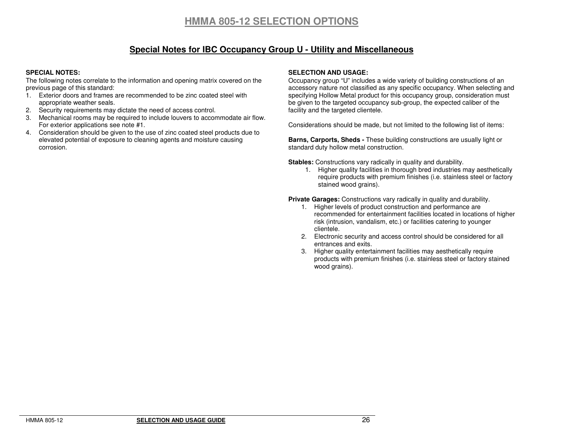### **Special Notes for IBC Occupancy Group U - Utility and Miscellaneous**

### **SPECIAL NOTES:**

 The following notes correlate to the information and opening matrix covered on the previous page of this standard:

- 1. Exterior doors and frames are recommended to be zinc coated steel with appropriate weather seals.
- 2. Security requirements may dictate the need of access control.
- 3. Mechanical rooms may be required to include louvers to accommodate air flow. For exterior applications see note #1.
- 4. Consideration should be given to the use of zinc coated steel products due to elevated potential of exposure to cleaning agents and moisture causing corrosion.

### **SELECTION AND USAGE:**

 Occupancy group "U" includes a wide variety of building constructions of an accessory nature not classified as any specific occupancy. When selecting and specifying Hollow Metal product for this occupancy group, consideration must be given to the targeted occupancy sub-group, the expected caliber of the facility and the targeted clientele.

Considerations should be made, but not limited to the following list of items:

**Barns, Carports, Sheds -** These building constructions are usually light or standard duty hollow metal construction.

**Stables:** Constructions vary radically in quality and durability.

 1. Higher quality facilities in thorough bred industries may aesthetically require products with premium finishes (i.e. stainless steel or factory stained wood grains).

**Private Garages:** Constructions vary radically in quality and durability.

- 1. Higher levels of product construction and performance are recommended for entertainment facilities located in locations of higher risk (intrusion, vandalism, etc.) or facilities catering to younger clientele.
- 2. Electronic security and access control should be considered for all entrances and exits.
- 3. Higher quality entertainment facilities may aesthetically require products with premium finishes (i.e. stainless steel or factory stained wood grains).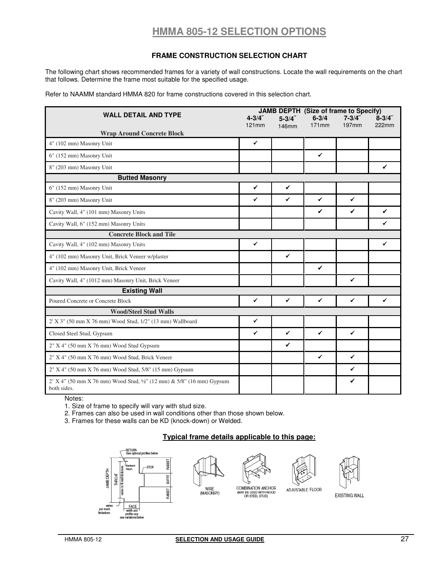# **HMMA 805-12 SELECTION OPTIONS**

### **FRAME CONSTRUCTION SELECTION CHART**

The following chart shows recommended frames for a variety of wall constructions. Locate the wall requirements on the chart that follows. Determine the frame most suitable for the specified usage.

Refer to NAAMM standard HMMA 820 for frame constructions covered in this selection chart.

|                                                                                      |                    |              |                       | JAMB DEPTH (Size of frame to Specify) |                    |
|--------------------------------------------------------------------------------------|--------------------|--------------|-----------------------|---------------------------------------|--------------------|
| <b>WALL DETAIL AND TYPE</b>                                                          | $4 - 3/4$<br>121mm | $5 - 3/4$    | $6 - 3/4$<br>$171$ mm | $7 - 3/4$<br>197 <sub>mm</sub>        | $8 - 3/4$<br>222mm |
| <b>Wrap Around Concrete Block</b>                                                    |                    | 146mm        |                       |                                       |                    |
| 4" (102 mm) Masonry Unit                                                             | $\checkmark$       |              |                       |                                       |                    |
| 6" (152 mm) Masonry Unit                                                             |                    |              | $\checkmark$          |                                       |                    |
| 8" (203 mm) Masonry Unit                                                             |                    |              |                       |                                       | ✓                  |
| <b>Butted Masonry</b>                                                                |                    |              |                       |                                       |                    |
| 6" (152 mm) Masonry Unit                                                             | $\checkmark$       | $\checkmark$ |                       |                                       |                    |
| 8" (203 mm) Masonry Unit                                                             | $\checkmark$       | $\checkmark$ | $\checkmark$          | $\checkmark$                          |                    |
| Cavity Wall, 4" (101 mm) Masonry Units                                               |                    |              | $\checkmark$          | $\checkmark$                          | $\checkmark$       |
| Cavity Wall, 6" (152 mm) Masonry Units                                               |                    |              |                       |                                       | ✓                  |
| <b>Concrete Block and Tile</b>                                                       |                    |              |                       |                                       |                    |
| Cavity Wall, 4" (102 mm) Masonry Units                                               | $\checkmark$       |              |                       |                                       | ✓                  |
| 4" (102 mm) Masonry Unit, Brick Veneer w/plaster                                     |                    | $\checkmark$ |                       |                                       |                    |
| 4" (102 mm) Masonry Unit, Brick Veneer                                               |                    |              | $\checkmark$          |                                       |                    |
| Cavity Wall, 4" (1012 mm) Masonry Unit, Brick Veneer                                 |                    |              |                       | $\checkmark$                          |                    |
| <b>Existing Wall</b>                                                                 |                    |              |                       |                                       |                    |
| Poured Concrete or Concrete Block                                                    | $\checkmark$       | $\checkmark$ | $\checkmark$          | $\checkmark$                          | ✓                  |
| <b>Wood/Steel Stud Walls</b>                                                         |                    |              |                       |                                       |                    |
| 2' X 3" (50 mm X 76 mm) Wood Stud, 1/2" (13 mm) Wallboard                            | $\checkmark$       |              |                       |                                       |                    |
| Closed Steel Stud, Gypsum                                                            | ✓                  | $\checkmark$ | $\checkmark$          | $\checkmark$                          |                    |
| 2" X 4" (50 mm X 76 mm) Wood Stud Gypsum                                             |                    | $\checkmark$ |                       |                                       |                    |
| 2" X 4" (50 mm X 76 mm) Wood Stud, Brick Veneer                                      |                    |              | $\checkmark$          | $\checkmark$                          |                    |
| 2" X 4" (50 mm X 76 mm) Wood Stud, 5/8" (15 mm) Gypsum                               |                    |              |                       | ✓                                     |                    |
| 2' X 4" (50 mm X 76 mm) Wood Stud, 1/2" (12 mm) & 5/8" (16 mm) Gypsum<br>both sides. |                    |              |                       | ✓                                     |                    |

Notes:

1. Size of frame to specify will vary with stud size.

2. Frames can also be used in wall conditions other than those shown below.

3. Frames for these walls can be KD (knock-down) or Welded.

### **Typical frame details applicable to this page:**









**EXISTING WALL**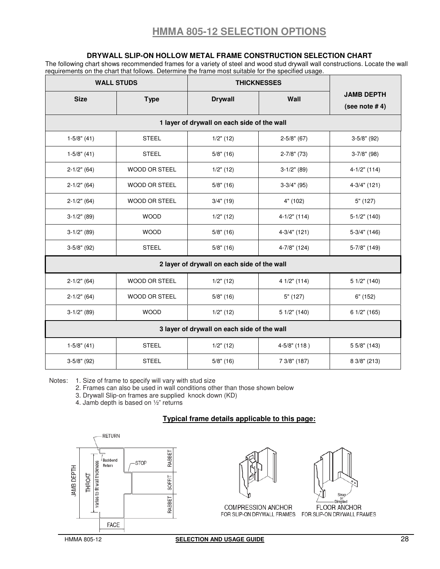### **DRYWALL SLIP-ON HOLLOW METAL FRAME CONSTRUCTION SELECTION CHART**

The following chart shows recommended frames for a variety of steel and wood stud drywall wall constructions. Locate the wall requirements on the chart that follows. Determine the frame most suitable for the specified usage.

|                                             | <b>WALL STUDS</b>                           | <b>THICKNESSES</b> |                  |                                        |  |  |  |  |  |  |  |  |
|---------------------------------------------|---------------------------------------------|--------------------|------------------|----------------------------------------|--|--|--|--|--|--|--|--|
| <b>Size</b><br><b>Type</b>                  |                                             | <b>Drywall</b>     | Wall             | <b>JAMB DEPTH</b><br>(see note $# 4$ ) |  |  |  |  |  |  |  |  |
|                                             | 1 layer of drywall on each side of the wall |                    |                  |                                        |  |  |  |  |  |  |  |  |
| $1-5/8"$ (41)                               | <b>STEEL</b>                                | $1/2"$ (12)        | $2 - 5/8"$ (67)  | $3-5/8"$ (92)                          |  |  |  |  |  |  |  |  |
| $1-5/8$ " (41)                              | <b>STEEL</b>                                | $5/8$ " (16)       | $2 - 7/8$ " (73) | $3-7/8$ " (98)                         |  |  |  |  |  |  |  |  |
| $2-1/2"$ (64)                               | <b>WOOD OR STEEL</b>                        | $1/2"$ (12)        | $3-1/2"$ (89)    | $4-1/2"$ (114)                         |  |  |  |  |  |  |  |  |
| $2-1/2"$ (64)                               | <b>WOOD OR STEEL</b>                        | $5/8$ " (16)       | $3-3/4"$ (95)    | $4-3/4"$ (121)                         |  |  |  |  |  |  |  |  |
| $2-1/2"$ (64)                               | <b>WOOD OR STEEL</b>                        | $3/4"$ (19)        | 4" (102)         | $5"$ (127)                             |  |  |  |  |  |  |  |  |
| $3-1/2"$ (89)                               | <b>WOOD</b>                                 | $1/2"$ (12)        | $4-1/2"$ (114)   | $5-1/2"$ (140)                         |  |  |  |  |  |  |  |  |
| $3-1/2"$ (89)                               | <b>WOOD</b>                                 | $5/8$ " (16)       | $4-3/4"$ (121)   | $5-3/4"$ (146)                         |  |  |  |  |  |  |  |  |
| $3-5/8"$ (92)                               | <b>STEEL</b>                                |                    | 4-7/8" (124)     | 5-7/8" (149)                           |  |  |  |  |  |  |  |  |
|                                             | 2 layer of drywall on each side of the wall |                    |                  |                                        |  |  |  |  |  |  |  |  |
| $2-1/2"$ (64)                               | <b>WOOD OR STEEL</b>                        | $1/2"$ (12)        | 4 1/2" (114)     | 51/2" (140)                            |  |  |  |  |  |  |  |  |
| $2-1/2"$ (64)                               | <b>WOOD OR STEEL</b>                        | $5/8$ " (16)       | 5" (127)         | $6"$ (152)                             |  |  |  |  |  |  |  |  |
| $3-1/2"$ (89)                               | <b>WOOD</b>                                 | $1/2"$ (12)        | 5 1/2" (140)     | 6 1/2" (165)                           |  |  |  |  |  |  |  |  |
| 3 layer of drywall on each side of the wall |                                             |                    |                  |                                        |  |  |  |  |  |  |  |  |
| $1-5/8$ " (41)                              | <b>STEEL</b>                                | $1/2"$ (12)        | $4 - 5/8"$ (118) | 5 5/8" (143)                           |  |  |  |  |  |  |  |  |
| $3-5/8"$ (92)                               | <b>STEEL</b>                                | $5/8"$ (16)        | 7 3/8" (187)     | 8 3/8" (213)                           |  |  |  |  |  |  |  |  |

Notes: 1. Size of frame to specify will vary with stud size

2. Frames can also be used in wall conditions other than those shown below

3. Drywall Slip-on frames are supplied knock down (KD)

4. Jamb depth is based on ½" returns

### **Typical frame details applicable to this page:**



COMPRESSION ANCHOR FOR SLIP-ON DRYWALL FRAMES FOR SLIP-ON DRYWALL FRAMES



FLOOR ANCHOR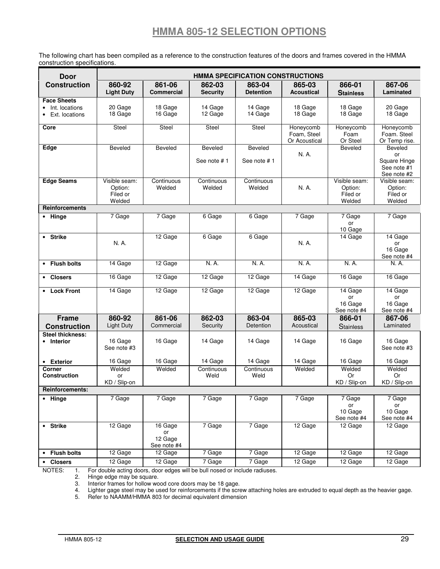# **HMMA 805-12 SELECTION OPTIONS**

The following chart has been compiled as a reference to the construction features of the doors and frames covered in the HMMA construction specifications.

| <b>Door</b>                                            | <b>HMMA SPECIFICATION CONSTRUCTIONS</b>        |                                         |                               |                            |                                           |                                                |                                                             |  |  |  |
|--------------------------------------------------------|------------------------------------------------|-----------------------------------------|-------------------------------|----------------------------|-------------------------------------------|------------------------------------------------|-------------------------------------------------------------|--|--|--|
| <b>Construction</b>                                    | 860-92<br><b>Light Duty</b>                    | 861-06<br><b>Commercial</b>             | 862-03<br><b>Security</b>     | 863-04<br><b>Detention</b> | 865-03<br><b>Acoustical</b>               | 866-01<br><b>Stainless</b>                     | 867-06<br>Laminated                                         |  |  |  |
| <b>Face Sheets</b><br>Int. locations<br>Ext. locations | 20 Gage<br>18 Gage                             | 18 Gage<br>16 Gage                      | 14 Gage<br>12 Gage            | 14 Gage<br>14 Gage         | 18 Gage<br>18 Gage                        | 18 Gage<br>18 Gage                             | 20 Gage<br>18 Gage                                          |  |  |  |
| Core                                                   | Steel                                          | Steel                                   | Steel                         | Steel                      | Honeycomb<br>Foam, Steel<br>Or Acoustical | Honeycomb<br>Foam<br>Or Steel                  | Honeycomb<br>Foam. Steel<br>Or Temp rise.                   |  |  |  |
| Edge                                                   | <b>Beveled</b>                                 | Beveled                                 | <b>Beveled</b><br>See note #1 | Beveled<br>See note #1     | N. A.                                     | Beveled                                        | Beveled<br>or<br>Square Hinge<br>See note #1<br>See note #2 |  |  |  |
| <b>Edge Seams</b>                                      | Visible seam:<br>Option:<br>Filed or<br>Welded | Continuous<br>Welded                    | Continuous<br>Welded          | Continuous<br>Welded       | N. A.                                     | Visible seam:<br>Option:<br>Filed or<br>Welded | Visible seam:<br>Option:<br>Filed or<br>Welded              |  |  |  |
| <b>Reinforcements</b>                                  |                                                |                                         |                               |                            |                                           |                                                |                                                             |  |  |  |
| • Hinge                                                | 7 Gage                                         | 7 Gage                                  | 6 Gage                        | 6 Gage                     | 7 Gage                                    | 7 Gage<br>or<br>10 Gage                        | 7 Gage                                                      |  |  |  |
| • Strike                                               | N. A.                                          | 12 Gage                                 | 6 Gage                        | 6 Gage                     | N. A.                                     | 14 Gage                                        | 14 Gage<br>or<br>16 Gage<br>See note #4                     |  |  |  |
| • Flush bolts                                          | 14 Gage                                        | 12 Gage                                 | N. A.                         | N. A.                      | N. A.                                     | N. A.                                          | N. A.                                                       |  |  |  |
| • Closers                                              | 16 Gage                                        | 12 Gage                                 | 12 Gage                       | 12 Gage                    | 14 Gage                                   | 16 Gage                                        | 16 Gage                                                     |  |  |  |
| • Lock Front                                           | 14 Gage                                        | 12 Gage                                 | 12 Gage                       | 12 Gage                    | 12 Gage                                   | 14 Gage<br>or<br>16 Gage<br>See note #4        | 14 Gage<br>or<br>16 Gage<br>See note #4                     |  |  |  |
| <b>Frame</b>                                           | 860-92                                         | 861-06                                  | 862-03                        | 863-04                     | 865-03                                    | 866-01                                         | 867-06                                                      |  |  |  |
| <b>Construction</b>                                    | <b>Light Duty</b>                              | Commercial                              | Security                      | Detention                  | Acoustical                                | <b>Stainless</b>                               | Laminated                                                   |  |  |  |
| <b>Steel thickness:</b><br>• Interior                  | 16 Gage<br>See note #3                         | 16 Gage                                 | 14 Gage                       | 14 Gage                    | 14 Gage                                   | 16 Gage                                        | 16 Gage<br>See note #3                                      |  |  |  |
| • Exterior                                             | 16 Gage                                        | 16 Gage                                 | 14 Gage                       | 14 Gage                    | 14 Gage                                   | 16 Gage                                        | 16 Gage                                                     |  |  |  |
| Corner<br><b>Construction</b>                          | Welded<br>or<br>KD / Slip-on                   | Welded                                  | Continuous<br>Weld            | Continuous<br>Weld         | Welded                                    | Welded<br>Or<br>KD / Slip-on                   | Welded<br>Or<br>KD / Slip-on                                |  |  |  |
| <b>Reinforcements:</b>                                 |                                                |                                         |                               |                            |                                           |                                                |                                                             |  |  |  |
| • Hinge                                                | 7 Gage                                         | 7 Gage                                  | 7 Gage                        | 7 Gage                     | 7 Gage                                    | 7 Gage<br>or<br>10 Gage<br>See note #4         | 7 Gage<br>or<br>10 Gage<br>See note #4                      |  |  |  |
| • Strike                                               | 12 Gage                                        | 16 Gage<br>or<br>12 Gage<br>See note #4 | 7 Gage                        | 7 Gage                     | 12 Gage                                   | 12 Gage                                        | 12 Gage                                                     |  |  |  |
| • Flush bolts                                          | 12 Gage                                        | 12 Gage                                 | 7 Gage                        | 7 Gage                     | 12 Gage                                   | 12 Gage                                        | 12 Gage                                                     |  |  |  |
| • Closers                                              | 12 Gage                                        | 12 Gage                                 | 7 Gage                        | 7 Gage                     | 12 Gage                                   | 12 Gage                                        | 12 Gage                                                     |  |  |  |

NOTES: 1. For double acting doors, door edges will be bull nosed or include radiuses.

2. Hinge edge may be square.

3. Interior frames for hollow wood core doors may be 18 gage.

4. Lighter gage steel may be used for reinforcements if the screw attaching holes are extruded to equal depth as the heavier gage.

5. Refer to NAAMM/HMMA 803 for decimal equivalent dimension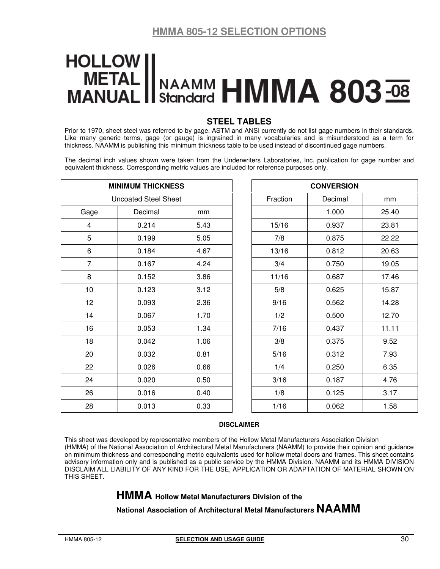# **HOLLOW** METAL Standard HMMA 803 **MANUAL**

### **STEEL TABLES**

Prior to 1970, sheet steel was referred to by gage. ASTM and ANSI currently do not list gage numbers in their standards. Like many generic terms, gage (or gauge) is ingrained in many vocabularies and is misunderstood as a term for thickness. NAAMM is publishing this minimum thickness table to be used instead of discontinued gage numbers.

The decimal inch values shown were taken from the Underwriters Laboratories, Inc. publication for gage number and equivalent thickness. Corresponding metric values are included for reference purposes only.

|                | <b>MINIMUM THICKNESS</b>    |      | <b>CONVERSION</b> |         |       |  |  |  |
|----------------|-----------------------------|------|-------------------|---------|-------|--|--|--|
|                | <b>Uncoated Steel Sheet</b> |      | Fraction          | Decimal | mm    |  |  |  |
| Gage           | Decimal                     | mm   |                   | 1.000   | 25.40 |  |  |  |
| 4              | 0.214                       | 5.43 | 15/16             | 0.937   | 23.81 |  |  |  |
| 5              | 0.199                       | 5.05 | 7/8               | 0.875   | 22.22 |  |  |  |
| 6              | 0.184                       | 4.67 | 13/16             | 0.812   | 20.63 |  |  |  |
| $\overline{7}$ | 0.167                       | 4.24 | 3/4               | 0.750   | 19.05 |  |  |  |
| 8              | 0.152                       | 3.86 | 11/16             | 0.687   | 17.46 |  |  |  |
| 10             | 0.123                       | 3.12 | 5/8               | 0.625   | 15.87 |  |  |  |
| 12             | 0.093                       | 2.36 | 9/16              | 0.562   | 14.28 |  |  |  |
| 14             | 0.067                       | 1.70 | 1/2               | 0.500   | 12.70 |  |  |  |
| 16             | 0.053                       | 1.34 | 7/16              | 0.437   | 11.11 |  |  |  |
| 18             | 0.042                       | 1.06 | 3/8               | 0.375   | 9.52  |  |  |  |
| 20             | 0.032                       | 0.81 | 5/16              | 0.312   | 7.93  |  |  |  |
| 22             | 0.026                       | 0.66 | 1/4               | 0.250   | 6.35  |  |  |  |
| 24             | 0.020                       | 0.50 | 3/16              | 0.187   | 4.76  |  |  |  |
| 26             | 0.016                       | 0.40 | 1/8               | 0.125   | 3.17  |  |  |  |
| 28             | 0.013                       | 0.33 | 1/16              | 0.062   | 1.58  |  |  |  |

### **DISCLAIMER**

This sheet was developed by representative members of the Hollow Metal Manufacturers Association Division (HMMA) of the National Association of Architectural Metal Manufacturers (NAAMM) to provide their opinion and guidance on minimum thickness and corresponding metric equivalents used for hollow metal doors and frames. This sheet contains advisory information only and is published as a public service by the HMMA Division. NAAMM and its HMMA DIVISION DISCLAIM ALL LIABILITY OF ANY KIND FOR THE USE, APPLICATION OR ADAPTATION OF MATERIAL SHOWN ON THIS SHEET.

## **HMMA Hollow Metal Manufacturers Division of the**

**National Association of Architectural Metal Manufacturers NAAMM**